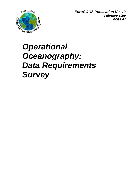

*EuroGOOS Publication No. 12 February 1999 EG99.04*

# *Operational Oceanography: Data Requirements Survey*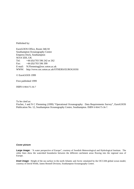Published by:

EuroGOOS Office, Room 346/18 Southampton Oceanography Centre Empress Dock, Southampton SO14 3ZH, UK Tel: +44 (0)1703 596 242 or 262 Fax: +44 (0)1703 596 399 E-mail: N.Flemming@soc.soton.ac.uk WWW: http://www.soc.soton.ac.uk/OTHERS/EUROGOOS/

© EuroGOOS 1999

First published 1999

ISBN 0-904175-36-7

To be cited as:

Fischer, J and N C Flemming (1999) "Operational Oceanography: Data Requirements Survey", EuroGOOS Publication No. 12, Southampton Oceanography Centre, Southampton. ISBN 0-904175-36-7.

#### *Cover picture*

**Large image:** "A water perspective of Europe", courtesy of Swedish Meteorological and Hydrological Institute. The white lines show the watershed boundaries between the different catchment areas flowing into the regional seas of Europe.

*Inset image:* Height of the sea surface in the north Atlantic and Arctic simulated by the OCCAM global ocean model, courtesy of David Webb, James Rennell Division, Southampton Oceanography Centre.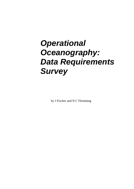# *Operational Oceanography: Data Requirements Survey*

by J Fischer and N C Flemming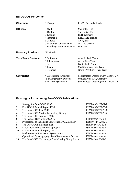# **EuroGOOS Personnel**

| <b>Chairman</b>           | D Tromp                     | RIKZ, The Netherlands               |
|---------------------------|-----------------------------|-------------------------------------|
| <b>Officers</b>           | H Cattle                    | Met. Office, UK                     |
|                           | H Dahlin                    | SMHI, Sweden                        |
|                           | D Kohnke                    | BSH, Germany                        |
|                           | P Marchand                  | <b>IFREMER, France</b>              |
|                           | S Vallerga                  | CNR, Italy                          |
|                           | C Tziavos (Chairman TPWG)   | NCMR, Greece                        |
|                           | D Prandle (Chairman SAWG)   | POL, UK                             |
| <b>Honorary President</b> | J D Woods                   |                                     |
| <b>Task Team Chairmen</b> | C Le Provost                | <b>Atlantic Task Team</b>           |
|                           | O Johannessen               | <b>Arctic Task Team</b>             |
|                           | E Buch                      | <b>Baltic Task Team</b>             |
|                           | N Pinardi                   | Mediterranean Task Team             |
|                           | L Droppert                  | North West Shelf Task Team          |
| <b>Secretariat</b>        | N C Flemming (Director)     | Southampton Oceanography Centre, UK |
|                           | J Fischer (Deputy Director) | University of Kiel, Germany         |
|                           | S M Marine (Secretary)      | Southampton Oceanography Centre, UK |

# **Existing or forthcoming EuroGOOS Publications:**

| 1.  | Strategy for EuroGOOS 1996                                | ISBN 0-904175-22-7 |
|-----|-----------------------------------------------------------|--------------------|
| 2.  | EuroGOOS Annual Report 1996                               | ISBN 0-904175-25-1 |
| 3.  | The EuroGOOS Plan 1997                                    | ISBN 0-904175-26-X |
| 4.  | The EuroGOOS Marine Technology Survey                     | ISBN 0-904175-29-4 |
| 5.  | The EuroGOOS brochure, 1997                               |                    |
| 6.  | The Science Base of EuroGOOS                              | ISBN 0-90417530-8  |
| 7.  | Proceedings of the Hague Conference, 1997, Elsevier       | ISBN 0-444-82892-3 |
| 8.  | The EuroGOOS Extended Plan                                | ISBN 0-904175-32-4 |
| 9.  | EuroGOOS Atlantic Workshop report                         | ISBN 0-904175-33-2 |
| 10. | EuroGOOS Annual Report, 1997                              | ISBN 0-904175-34-0 |
| 11. | Mediterranean Forecasting System report                   | ISBN 0-904175-35-9 |
| 12. | <b>Operational Oceanography: Data Requirements Survey</b> | ISBN 0-904175-36-7 |
| 13. | The EuroGOOS Technology Plan Working Group Report         | ISBN 0-904175-37-5 |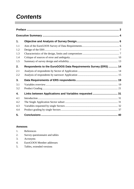# *Contents*

| 1.  |                                                                |  |
|-----|----------------------------------------------------------------|--|
| 1.1 |                                                                |  |
| 1.2 |                                                                |  |
| 1.3 |                                                                |  |
| 1.4 |                                                                |  |
| 1.5 |                                                                |  |
| 2.  | Respondents to the EuroGOOS Data Requirements Survey (ERS)  14 |  |
| 2.1 |                                                                |  |
| 2.2 |                                                                |  |
| 3.  |                                                                |  |
| 3.1 |                                                                |  |
| 3.2 |                                                                |  |
| 4.  | Links between Applications and Variables requested  31         |  |
| 4.1 |                                                                |  |
| 4.2 |                                                                |  |
| 4.3 |                                                                |  |
| 4.4 |                                                                |  |
| 5.  |                                                                |  |

## **Annexes**

| -1. | References                      |
|-----|---------------------------------|
| 2.  | Survey questionnaire and tables |
| 3.  | Acronyms                        |

- 4. EuroGOOS Member addresses
- 5. Tables, extended versions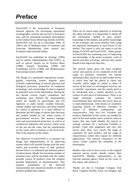# *Preface*

EuroGOOS is the Association of European national agencies for developing operational oceanographic systems and services in European seas, and for promoting European participation in the Global Ocean Observing System (GOOS). EuroGOOS was set up in December 1994. In 1999 it has 31 Members from 16 countries, and Associate Membership from several key European multi-national bodies.

EuroGOOS has published its Strategy (1996) and an outline implementation Plan (1997), as well as special reports on its Science Basis (1998), Atlantic Workshop (1998) and Technology Survey (1998) and Mediterranean Forecasting System (1998).

The design of a permanent operational oceanographic observing system depends upon scientific understanding of marine physical and biological processes, possession of competent technology, and a knowledge of what is required by potential users of the information. During the last decade various expert committees and workshops have defined the measurements which are needed by government and UN Agencies to make marine weather forecasts, climate models and forecasts, and those needed for control of pollution. It is more difficult to determine the full range of marine data forecasts and models needed by the whole variety of governmental services, like resource management and environmental protection, as well as of commercial industries and services which work on the sea and the coast, and the requirements on the coasts and in estuaries at the local level. This is the purpose of this report.

The objective of EuroGOOS is to promote the design and implementation of an observing system which will provide Europe with the most useful and economic array of data products derived from a co-ordinated and minimal pattern of observations. Ideally the maximum number of potential users will be provided with the widest possible variety of products from the simplest possible deployment of instrumentation. This requires assimilation of the observed measurements into numerical models in order to produce gridded data outputs.

There are of course many obstacles to achieving this ideal outcome. It is impossible to obtain all the information needed to give perfect knowledge of the market, and perfect knowledge of the economic and social benefits from using the improved information in each Sector of the market. This report is only one input to aid the design of GOOS and EuroGOOS. Other groups in EuroGOOS are examining ways of improving our knowledge of the actual economic scale of marine activities in Europe, and how they would benefit from improved forecasts.

The present report gives the most complete survey and analysis so far conducted of the full range of potential customers for marine operational data, based on an open-ended survey in which they had the option to chose any Variable which might be useful to them. A survey of this kind is a sociological exercise, not a scientific experiment, and the results need to be interpreted with a careful attention to the context of each piece of information. There is no single dominant customer for marine environmental data, and thus the survey data set is multi-dimensional, with dozens of customers requiring dozens of different Variables in dozens of different combinations and characteristics. Only very few Variables and products identified in this survey are needed by most of the total market and it would be naïve to expect that one could identify the typical or average customer for a particular Variable or product. Used with judgement and care, this survey does show very clearly the range of customers for each product, and the range of characteristics which they require for different applications. The internal consistency of the survey results confirm the reliability of the information.

Readers who wish to have access to the original national survey results should contact their EuroGOOS Member representative at the relevant national agency listed on the cover of this report, and Annexe 4.

Thanks are due to Giuseppe Cutugno, Erik Buch, Gregorio Parrilla, Frans van Dongen, and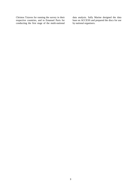Christos Tziavos for running the survey in their respective countries, and to Emanuel Paris for conducting the first stage of the multi-national data analysis. Sally Marine designed the data base on ACCESS and prepared the discs for use by national organisers.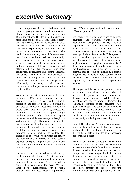# *Executive Summary*

A survey questionnaire was distributed in 6 countries giving a balanced north-south sample of operational marine data requirements from 155 organisations. The design of the questionnaire itself, the list of 116 Applications Sectors and 136 measured Variables is checked for bias, and the responses are checked for bias in the selection of respondents, and for carelessness or ignorance in completion of the forms. The results indicate a strong demand for operational data from a well-informed user community which includes research organisations, marine services, environmental management bodies, building, transport, defence, engineering and offshore oil and gas companies and their contractors, aquaculture and fishing industry, and others. The demand for data products is dominated by the physical parameters of the coastal seas and upper ocean, but phytoplankton, chlorophyll, nutrients, and oxygen concentrations all appear as requirements in the top 40 ranking.

We describe the data requirements in terms of the data set (Variables, geographic coverage, accuracy, spatial, vertical and temporal resolution, and forecast period) as it would be delivered to the user. In most cases the delivery would occur after data analysis, processing, modelling, or creation of a gridded high resolution product. Only 20% of users require raw observational data on average, although this varies with the topic. The characteristics of the data requirements therefore describe in general the output from models, not the accuracy or resolution of the observing system which produced the data input to the models. The design of an observing system which can satisfy the requirements expressed in this survey depends upon specifying the model software and data input to that model which will produce the required output.

The user community responding included every Application in the EuroGOOS list, excepting only deep sea mineral mining and extraction of minerals from seawater. The respondents expressed a requirement for every Variable listed in the questionnaire, with a strong gradient from the most frequent requirements

(over 50% of respondents) to the least required (2% of respondents).

We identify correlations and trends as between countries, and between Variables, user applications, geographical scales, accuracy requirements, and other characteristics of the data set. In all cases there is a wide spread of choices selected by respondents because they have genuinely different needs. This spread is not an error about a presumed mean for an ideal user, but is a real reflection of the wide range of applications and geographical environments. A data supplier wishing to market data products can therefore see what proportion of the total potential market would be satisfied by a product of given specifications. A more detailed analysis can show what characteristics of the data are required by single industries or Application Sectors.

This report will be useful to operators of data services and value-added companies who wish to assess the present and future demand for different data products. While physical Variables and derived products dominate the ranking, descriptions of the ecosystem, water quality, chemistry, and sediment characteristics are close behind, and evidence from this survey and other studies by EuroGOOS confirm the steady growth in importance of ecosystem and water quality modelling and forecasting.

EuroGOOS Member Agencies with responsibility for the development of observing systems in the different regional seas of Europe can use the results to help in the design of observing networks and models.

There is an implied connection between the results of this survey and the EuroGOOS economic studies which show the importance of different marine industries and services to Europe. At a very simple level this survey demonstrates that every marine activity in Europe has a demand for improved operational marine data, and would therefore benefit economically from the provision of those data. The more complex exercise of connecting individual industries and applications to their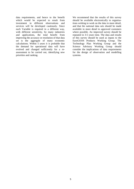data requirements, and hence to the benefit which would be expected to result from investment in different observations and services will be developed cautiously. Since each Variable is required in a different way, with different sensitivity, by many industries and applications, the total benefit from improving the accuracy or resolution of that data set is the aggregate of many economic calculations. Within 5 years it is probable that the demand for operational data will have evolved and changed sufficiently for a reassessment to be carried out, identifying new priorities and ranking.

We recommend that the results of this survey should be available electronically to organisations wishing to work on the data in more detail, and that the national data sets should be made available in more detail to approved customers where possible. An improved survey should be repeated in 3-5 years time. The data and results of this survey should be used as inputs to the EuroGOOS Products Working Group. The Technology Plan Working Group and the Science Advisory Working Group should consider the implications of data requirements for the design of observation and modelling systems.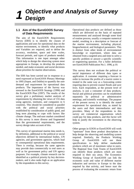# **1.1 Aim of the EuroGOOS Survey of Data Requirements**

The aim of the EuroGOOS Requirements Survey (ERS) is to identify the classes of applications and uses for operational data on the marine environment, to identify what products and Variables are required, and to define the accuracy, resolution, space and time scales, forecast periods, and types of products needed. This information is one input amongst other which help to design the observing system most appropriate to Europe, to develop the products needed, and make economic and social decisions about priorities for marine observations.

The ERS has been carried out in response to a need expressed at EuroGOOS Plenary Meetings in 1995 (Sopot, and Dublin) to quantify the user demand and requirement for operational data products. The importance of the Survey was stressed in the EuroGOOS Strategy (1996) and the EuroGOOS Plan (1997). The results of the survey give a preliminary market analysis of requirements by obtaining the views of 155 data using agencies, institutes, and companies in 6 countries. This should be considered in parallel with the political and social priorities established by consideration of public good, and long term planning to cope with factors like climate change. The end-user market considered in this survey is more diverse and fragmented than the governmental requirements, and the survey design takes account of this.

This survey of operational marine data needs is, by definition, additional to the political or social objectives defined by international bodies, UN agencies, and government agencies, which lead to consequential operational data requirements. There is overlap, because the same agencies may provide data commercially to end users as well as for government policy and UN agency purposes. For example, climate research can be identified as a political priority by key decisionmakers, and it also ranks high as an application by the respondents to this survey.

Operational data products are defined as those which are delivered on the basis of repeated measurements and analysed through some kind of routine process, usually a computer numerical model, resulting in a description or forecast of the marine environment, including physical, biogeochemical, and biological parameters. This is distinct from other kinds of environmental knowledge or experiment, where data are obtained from a targeted area and time to solve a specific problem or answer a specific scientific or engineering question. For a fuller definition see EuroGOOS Publication No.1. 1996, p.10.

This survey does not evaluate the political or social importance of different data types or application. A customer requiring a forecast in order to increase the profits of a tourist centre is treated in the same way as a forecasting centre requiring data to prevent coastal floods and save lives. Each respondent, at the present level of analysis, is just a consumer of data products. Social and political priorities can be established separately by political or administrative meetings, and scientific workshops. The purpose of the present survey is to identify the stated requirement for operational data, as stated by the users and their intermediaries and data providers. Many of the respondents to this survey are commercial organisations which could pay for data products, and this factor will help to justify the investment in the observing system.

Other groups in GOOS or EuroGOOS will work "upstream" from these product descriptions to help design the observing and modelling system required. Similarly, the Products Working Group of EuroGOOS will use these specifications to help define marketable products which are of maximum value to users. The Regional Seas Task Teams of EuroGOOS can identify those products which are most required in their sea areas. The Economics Working Group of EuroGOOS can link the economic scale and value of different marine industries and services in Europe to the data required by that activity, and hence start the process of evaluating the economic return from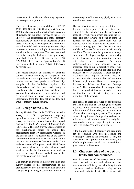investment in different observing systems, technologies, and products.

There are other analyses, workshops, (OOSDP 1995; IOC, GOOS 1998; Unninayar & Schiffer, 1997) of data required to meet specific research objectives, but no other survey, so far as we know, of the commercial and small company requirements by hundreds or thousands of end users. Since many of the respondents to the ERS are value-added and service organisations, they represent a substantial multiple of users over the actual number of responses. The data base used for this analysis includes data previously published from the UK survey in 1993 (IACMST 1993), and the Spanish EuroGOOS Survey published in Spain (AINCO-Interocean & Parrilla 1997)

This report includes an analysis of potential sources of error and bias, an analysis of the respondents and the applications for which they require marine data products, followed by analysis of the Variables required, the characteristics of the data, and finally a correlation between Application and data type. We conclude with some recommendations, and a forward look for ways to extract further information from the data set if needed, and ways to improve future surveys.

# **1.2 Design of the ERS**

During 1993-94 The UK IACMST conducted a survey of UK organisations requiring operational marine data. (IACMST 1993) . The survey methodology was subsequently adapted and used by the SeaNet group (1995) and ESA (ESA 1995). The ESA Survey used a subset of the questionnaire design to obtain data requirements from 70 respondents working in the coastal zone. The techniques of the survey had therefore been well tested and published by the time that EuroGOOS decided to undertake a wider survey on a European scale in 1995. Some terms were added to include industries and services in the Mediterranean area, and to increase the range of terms available to describe the coastal zone and hinterland.

The enquiry addressed to the respondent in this survey relates to the characteristics of the product received by the customer. This could be a single ship wanting a storm-free route, or a

meteorological office wanting gigabytes of data to assimilate into a model.

The specifications of accuracy, resolution, etc. described in this report refer to the data product required by the customer, not the specification of the observing system which generates the raw data. This must always be borne in mind. In general, the raw data observations will be obtained with high instrumental accuracy on a coarser sampling grid than the output from models. A forecast for an end user will usually specify a Variable to a fairly coarse accuracy, for example 0.1 degree centigrade, but showing predicted values on a fine resolution grid and with short time intervals. The more sophisticated user who requires raw or processed data to run a predictive model will want high accuracy and will conduct their own analysis. There is therefore a great range of customers who require different types of product from the same Variable and for quite different applications. There is no attempt to discover or define the ideal or "average product". The various tables in this report show that if the product has or exceeds a certain specification, then it will satisfy a certain proportion of the market.

This range of users and range of requirements are facts of the market. The range of responses described in this document is, so far as possible, a description of that market, and is not a range of error about an imaginary mean. The range or spread of requirements is a genuine and measurable characteristic of the market. The analysis is structured to show the range of requirements for each type of data Variable and product.

If the highest required accuracy and resolution can be obtained with present science and technology, there is no problem. If not, the tables show what proportion of the market, and which Applications, would be serviced by a given level of achievement.

# **1.3 Characteristics of the design, limits and compromises**

Key characteristics of the survey design have been selected to try and eliminate bias, maximise the efficiency and simplicity for the respondent, and to facilitate coding of the replies and analysis of data. These factors will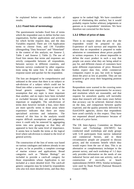be explained before we consider analysis of results.

### **1.3.1 Fixed lists of terminology**

The questionnaire includes fixed lists of terms which the respondent uses to define his/her own organisation, his/her applications and activities for which he/she requires data, and the data Variables required. There are 116 Application terms to choose from, and 136 Variables (disregarding "Data Structure" and "Hinterland" in the context of this analysis; see Annexe 2, Table 1 and Annexe 2, Table 2). The use of fixed lists means that terms and responses are strictly comparable between all respondents, between surveys in different countries, and between surveys conducted by other organisations using the same lists. It also makes the response easier and quicker for the respondent.

The lists are designed to be comprehensive and unbiased in the sense that there is no subject or sub-division of a subject which could not be fitted into either a narrow category or one of the broad generic categories. There is no assumption that any topic is more important than another, and no topics have been included or excluded because they are assumed to be important or negligible. The sub-division of terms does however include a bias, since there are more specific terms in those areas where experience indicates that there are many specialised activities and industries. The removal of this bias in the analysis would require difficult assumptions and judgements, since it could only be removed by aggregating terms into new groupings so that they all appeared to have the same level of importance. It seems best to handle the terms at the logical level where sub-division is related to the level of general activity.

The construction of the lists of terms was based on various catalogues and indexes already in use to give, so far as possible, a complete coverage of marine science and applications. Broad categories such as "Marine Biology" are included to provide a catch-all category for those respondents whose Application is not included at a more detailed level. The catch-all generic categories may be ticked by respondents who also tick more detailed terms, and thus they

appear to be ranked high. We have considered ways of eliminating this artefact, but it would probably require further arbitrary judgements or guesses as to respondents' intentions. We have therefore not corrected for this factor.

### **1.3.2 Effect of price of data**

There is no enquiry about the price that the respondent would be prepared to pay. Experience of such surveys and enquiries has shown that no respondent is prepared to make admission or commitment about prices payable in written responses. It is almost impossible to define the exact product in such a way that people can assess what they are being asked to pay for, and different classes of customers have quite different expectations of price. Research bodies expect data free, while commercial companies expect to pay, but wish to bargain down the price as low as possible. They are not prepared to give away their bargaining position in writing.

Respondents were warned in the covering notes that they should state requirements for accuracy and resolution which are reasonable, and that requests for unrealistic quality will inevitably mean that research will take many years before that accuracy can be achieved. Internal checks on the data, and comparison between quality expected, and the quality presently delivered by EuroGOOS agencies, shows that respondents have acted carefully in this respect. They have not requested absurd performance because of the lack of a price factor.

The UK Inter-Agency Committee on Marine Science and Technology (IACMST) has conducted small workshops and study groups with 5-10 participants from narrow industrial and commercial Sectors, and in these circumstances people are prepared to discuss prices, and the economic benefit which they would expect from the use of data. This is an alternative or complementary technique to the present survey, and each workshop of 1-2 days only provides information on the needs of one industrial Sector and even one activity, such as construction of sea-walls, or beach replenishment (WHOI 1993). Similar techniques were used by Hauk Powell (National Research Council 1989).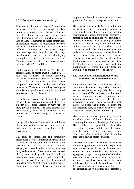#### **1.3.3 Complexity versus simplicity**

However one defines the range of Variables to be measured in the sea and included in data products, a practical list is bound to include many tens of terms, possibly over 100, and even many hundreds if one were to include extensive lists of chemical elements, chemical compounds, or biological species. The requirement for wave data can be defined in one word, or as many different parameters of the wave energy directional spectrum through time. Thus any questionnaire has to make simplifying assumptions. In this survey the table of Variables also includes some observational methods such as XBT or CTD.

To be useful in the design of the ERS the disaggregation of terms must be sufficient to relate the responses to single observing instruments or computer models. This results in a list of 136 Variables, including some composite terms which bracket and include other terms. These can be used as headings to simplify the preliminary analysis in broad groups (see Annexe 2, Table 2).

Similarly, the classification of applications and the activities of organisations could be treated in a dozen or so broad Sectors, or many tens of more precise activities. The same solution has been adopted, with 116 Application Sectors grouped into 12 broad categories (Annexe 2, Table 1).

This permits the matching of narrow definitions of user applications to narrow requirement for data, which is the most efficient use of the survey data.

This level of sophistication and complexity presupposes a level of informed expertise in the respondent. The questionnaire is unlikely to be answered by a harbour master or a trawler skipper, who would probably regard it as too fancy and unrealistic. To obtain the data demand directly from such people would require a narrow one-to-one response, and it would be necessary to have thousands of replies to build up a clear case. Almost certainly, such a survey could only be conducted by interviews, as

people would be unlikely to respond to written questions. This would be expensive and slow.

The respondents to the ERS are therefore the specialist agencies, commercial companies, value-added organisations, researchers, and the environmental experts from large commercial companies such as oil and gas or construction or shipping companies, who are going to process data for delivery to many tens or thousands of further customers or users. This fact is compatible with the observation that the statistics of the responses become stable within each country after only a few tens of respondents have replied. We can also deduce that the great majority of respondents who take the trouble to read and understand the questionnaire are responsible individuals, and are unlikely to provide frivolous answers.

#### **1.3.4 Associated characteristics of the Variables and Variable data set**

For each Variable the respondent was able to report the scale at which they wish to obtain and use the data (estuarine to global); the accuracy and precision (0.1% to 10%); the horizontal spatial resolution, vertical resolution, and temporal resolution; the type of data (raw observations to complete analysis and statistics), the forecast period, the medium of delivery, and the acceptable delay or latency of delivery. (See Questionnaire form, Annexe 2, Form A).

The correlation between application, Variable, and characteristics of the Variable data set are potentially important in the design of a service. The number of potentially identifiable correlations is almost infinite, and this report presents some major correlations and connections. Others could be extracted from the data base to answer specific questions.

In order to avoid excessive complexity and work in completing the questionnaire the respondents were invited to list all their applications as a Sector, and the Variables they require as aggregated groups where groups of Variables have the same characteristics in terms of accuracy, geographical scale, etc. If this were not the case the respondents would have had 10- 20 times as much work to carry out. The effect of aggregating the Applications and Variables is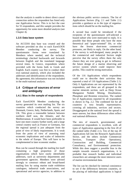that the analysis is unable to detect direct causal connection unless the respondent has listed only one Application Sector. This is in fact the case for 55 respondents, and this sample provides the opportunity for some more detailed analysis (see Chapter 4).

### **1.3.5 Data base system**

An ACCESS data base was created and the software provided on disc to each EuroGOOS Member conducting the survey. The questionnaire forms were translated by Members where needed, and the technical terminology checked backwards and forwards between English and the translated language several times. In Greece, respondents where provided with the forms both in Greek and English. Each country was free to conduct their own national analysis, which also included the addresses and identifications of the respondents. By agreement, this information was not included in the multi-national analysis.

# **1.4 Critique of sources of error and ambiguity**

#### **1.4.1 Bias in the sample of respondents**

Each EuroGOOS Member conducting the survey generated its own mailing list. The six countries which conducted the survey are Denmark, Greece, Italy, Netherlands, Spain, and UK. This gives a reasonable balance between northern shelf seas, the Atlantic, and the Mediterranean. It would have been preferable to have one more country further north, and a large central country such as France or Germany, but the regional spread is just adequate from the point of view of likely requirements. It is weak from the point of view of assessing total economic implications and scales of industries in the whole of Europe. This will have to be complemented in later economic studies.

Bias can be caused through the mailing list itself containing a high proportion of those organisations which have easily identifiable addresses, such as university departments and government agencies. Members were advised strongly to construct robust and broad-based mailing lists by using marine trade exhibition catalogues, industrial trade associations, and operational and service agencies, in addition to

the obvious public service contacts. The list of Applications Sectors (Fig. 2.1 and Table 2.1) provides a guidance as to the type of organisations which should be on the mailing list.

A second bias could be introduced if the recipients of the questionnaire self-selected a biased subset who were motivated to reply. It is possible that those people who have the most theoretical and "paper-oriented" life, or who have the fewest short-term commercial pressures, are likely to reply. On the other hand, if the survey is well-designed, many people in the commercial and industrial Sectors might perceive that the survey offers them the only chance they are ever going to get to influence the future design of a marine observing and service system which could improve their profits. This could be strong motivation.

Of the 116 Applications which respondents could use to describe their activities they reported a total of 110 Applications (Table 2.1). Only 6 Applications are not represented by the respondents, and these are all grouped in the marine minerals section, such as Deep Ocean Manganese Nodule Mining, Desalination, Phosphate and Bromine extraction. The ranked list of Applications reported by all respondents is shown in Fig. 2.2. The combined list for all countries is very broadly representative, covering all industries, services and sectors. Disaggregated at the national level the spread is more uneven, but these differences often reflect real national differences.

The mix of research, governmental, and commercial respondents is excellent, with all types of Application appearing in the first 20 of the ranked table (Table 2.1). Ten of the top 20 Applications fall into the Research Applications Sector, and the others include Commercial Services, Transport (Port Operations), Construction and Building, Commercial Consultancy, and Environmental protection. While this does suggest a possible bias in the sample towards research organisations, it is probable that research bodies and individual researchers are amongst the most intensive users of marine environmental data.

The list can be checked for internal consistency to see if the differences between countries, or the placing of individual applications is logical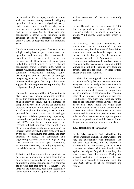or anomalous. For example, certain activities such as remote sensing research, shipping operations, data services, navigational safety and, climate research would probably occur more or less proportionately in each country, and this is the case. On the other hand port construction is shown to be important in all countries except the Netherlands, which is clearly a lack of response from an important Sector.

Certain contrasts are apparent. Denmark reports a high ranking level of port construction, port operations, and dredging. This is reasonable, even if the effect is exaggerated. Fisheries, fish farming, and shellfish farming all show Spain ranked the highest, which is correct. Tunnel construction shows Denmark high, which is correct. UK ranks highest for military vessel and submarine construction, military ASW oceanography, and for offshore oil and gas prospecting, which is probably correct. In spite of some obvious gaps, the comparative values suggest that the responses are representing the real pattern of applications.

The absolute ranking of different Applications is also instructive, though somewhat problematical. For example, offshore oil and gas is a huge industry in value, but the number of companies is very small. Oil and gas production therefore ranks low in numbers of respondents. As if to emphasis this effect, those activities provided by contractors to the oil and gas companies, offshore prospecting, pipelaying, construction of platforms, diving, submersibles and ROVs, rate higher. Many aspects of research rank high, and this is partly a reflection of the real emphasis on the use of data which is inherent in this activity, but also probably biased by the ease of identifying this Sector, and their tendency to reply. The commercial and engineering activities which rank high all ring true: met-ocean services, port operations, environmental services, consulting engineering, coastal defences, oil pollution control, etc.

Fisheries rank low amongst the respondents, as does marine tourism, and in both cases this is either a failure to identify the interested parties, or a failure to reply. Economic analysis confirms the obvious fact that both these industries are large. On the other hand, both these Sectors may have a low utilisation or up-take of data, or have a low awareness of the data potentially available.

Ocean Thermal Energy Conversion (OTEC), tidal energy, and wave energy all rank low, which is probably a reflection of the true state of affairs. Wind energy ranks higher, which is correct.

In summary, the total assemblage of Applications Sectors represented by the respondents very broadly covers all the activities which one could realistically expect to be carried out in Europe. The frequency of occurrence of different Applications reflects common-sense and reasonable trends as between countries, and between absolute ranking in total. Viewed in detail at the national level there are obvious gaps and deficiencies or exaggerations caused by the small numbers.

It is difficult to envisage what it would mean to produce a perfectly balanced survey sample, or to try and correct or weight the present sample. Should the response rate or number of respondents in an ideal sample be proportional to the number of practitioners, the economic value of their industry, the volume of data they would require, how much they would pay for the data, or the sensitivity of their activity to the use of the data? How should we weight those activities which have a large environmental conservation value? Clearly there is no ideal sample, and, in view of the previous discussion, it is therefore reasonable to accept the present sample as a practical and useful cross-section of the potential users of operational marine data.

## **1.4.2 Reliability of translation**

In the UK, Denmark, and Netherlands the survey was run in English. In Spain, Greece, and Italy the questionnaire was translated. The translation was carried out by experts in oceanography and engineering, and texts were compared and discussed in detail with checks against the original English. It is unlikely that errors arose from this source. During the national collection of responses the coordinators discussed terminology with the EuroGOOS Office to check categories and coding.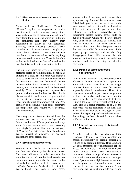#### **1.4.3 Bias because of terms, choice of limits**

Terms such as "Shelf seas", "Oceanic", "Coastal" require the respondent to make decisions which, at the boundary, may go either way. In the absence of extensive notes defining every term, the person who works at 1000m on the continental slope may classify their Application as either of two categories. Similarly, when choosing between "Data Consultancy" of "Data Services", people may make arbitrary choices. There is no evidence that these choices were influenced by anything other than random selection. There is therefore an inevitable fuzziness or "noise" added to the data, but this should not create systematic bias.

The tables of choice for levels of accuracy and preferred scales of resolution might be taken as building in a bias. The full range was intended to be so wide that all reasonable choices would fall within the range, and there would be no tendency to bunch the choices into one value. In general, the choices seem to have been used sensibly. Thus if a respondent requests data products with a resolution less than 1km, this is always associated with a scale of geographical interest at the estuarine or coastal. People requesting chemical data products opt for a 10% accuracy as acceptable, while some customers for temperature data require 0.1% accuracy. This is reasonable.

The categories of Forecast Period have the shortest period set at " up to 10 days" which fails to resolve the different products with very short forecast periods which are becoming increasingly important. However, the category of "Nowcast" for data product type should catch general interest in diagnostic or analysed descriptions of the present state.

#### **1.4.4 Broad and narrow terms**

Some terms in the list of Applications and Variables are inherently broader than others. This was deliberate in order to catch the activities which could not be fitted exactly into the narrow terms, since the list could not be infinitely long, and we wished to avoid a free text "other" category. This has the effect that the generic broad terms have, in some cases,

attracted a lot of responses, which moves them up the ranking. Some of the respondents have ticked both generic and narrow terms in the same group, and thus it could be logical to delete their ticking of the generic term, thus reducing its ranking. Conversely, as an experiment, related narrow terms could be bundled together within the nearest generic term, to check on the effect on ranking. This type of check has not been carried out systematically, but in the subsequent analysis the data are studied both at the level of the major groups headings, and at the fully disaggregated level. This treatment has the advantage of identifying broad trends with large numbers, and then focussing on detailed correlations.

#### **1.4.5 Mixing of terms and crosscontamination**

As explained in section 1.3.4, respondents were allowed to bundle together both Application terms and required Variable terms onto single response forms. In some cases this created apparently absurd correlations. Thus, if a respondent entered upper ocean temperature profiles, nutrient data, and wind stress onto the same form, they might also indicate that they required the data with a vertical resolution of 10m. This is a useful characteristic of 2 of the data types, but not applicable to the third. This is the principle example of this type of error. Where this type of pseudo-correlation occurs, the ranking has been deleted from the tables published in this report.

#### **1.4.6 Internal consistency of choice of Variables**

A further check on the reasonableness of the responses is to note that certain Variables are chosen preferentially in certain geographical regions or by certain industries. Thus Denmark, UK and Netherlands show an interest in aspects of sea ice, while the Mediterranean countries show almost none. The Mediterranean respondents show a high relative interest in precipitation and thermal properties of the upper ocean. Spain shows a high interest in estuaries and the properties of estuarine water bodies relevant to fish and shellfish farming. These correlations are just what one would expect, and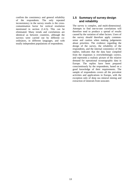confirm the consistency and general reliability of the respondents. The only repeated inconsistency in the survey results is the crosscontamination factor for vertical resolution mentioned in section (1.4.5). This can be eliminated. Many trends and correlations are identical as between countries, although the surveys were carried out by different coordinators, in different languages, and with totally independent populations of respondents.

# **1.5 Summary of survey design and reliability**

The survey is complex, and multi-dimensional. Attempts to find one-to-one correlations will therefore tend to produce a spread of results caused by the variation of other factors. Users of the survey should therefore apply commonsense and caution when making judgements about priorities. The evidence regarding the design of the survey, the reliability of the respondents, and the internal consistency of the replies, indicates that the data base compiled from the responses is overwhelmingly correct, and represents a realistic picture of the relative demand for operational oceanographic data in Europe. The replies have been prepared conscientiously by the respondents, based on a good knowledge of their requirements. The sample of respondents covers all the prevalent activities and applications in Europe, with the exception only of deep sea mineral mining and extraction of minerals from seawater.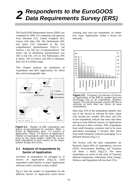# *2 Respondents to the EuroGOOS Data Requirements Survey (ERS)*

The EuroGOOS Requirement Survey (ERS) was completed in 1998. 155 companies and agencies from Denmark (31), United Kingdom (41), Greece (10), Italy (20), The Netherlands (20), and Spain (33) responded to the very comprehensive questionnaires (Fig.2.1; see Annexe 2 for full text of questionnaires). The return rate of distributed questionnaires was 20% in the UK, 21% in The Netherlands, 18% in Spain, 14% in Greece, and 30% in Denmark. Italy was in a similar range.

This Chapter analyses the population of respondents and their Applications for which they need oceanographic data.



**Figure 2.1.** *Number of ERS respondents and degree of specialisation by countries. White: 1 Sector of Application; grey: 2-3 Sectors of Application.; black: 4-9 Sectors of Application. Number of respondents with one single Sector is given by the small number within the circles, total respondents of each country by the larger number besides the circles.*

### **2.1 Analysis of respondents by Sector of Application**

Activities of respondents are arranged in 12 Sectors of Applications (Fig. 2.2). Each respondent could identify as many Applications relevant to their activities as they wished.

Fig.2.2 lists the number of respondents for the different Sectors of Application (each Sector

counting only once per respondent, no matter how many Applications within a Sector are selected).



**Figure 2.2.** *Frequency of selection of Sectors of Applications in the ERS by number (no) and percentage (%) of all respondents. Numbers surpass 155 and percentages exceed 100 due to selection of more than one Sector by most respondents).*

More than 35% of the respondents identify only one of the Sectors as relevant for them, about 22% include two, another 18% three, and 25% of the respondents indicate that more than three and up to nine different Sectors of Applications are relevant to their activities. ERS respondents from north European countries tend to be more specialised (averaging 2 Sectors) then those from south European countries (averaging 3 to 4 different Sectors) (Fig.2.1).

The Sectors with the most respondents are Research (about 60% of respondents), Services (42%), Environment, Building, and Transport (all about 1 third)  $(Fig.2.2)$ . Not many respondents are active in the areas of Tourism, Mineral Exploitation, Hinterland, Food, Energy, Defence, and Equipment (all less than 15%).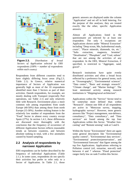

**Figure 2.3.** *Distribution of broad Sectors of Application selected by ERS respondents (100% = number of respondents within each* country)

Respondents from different countries tend to have slightly differing focus areas (Fig.2.3, Table 2.1). In Greece, relative numerical importance of Sectors of Application was generally high as most of the 10 respondents identified more than 3 Sectors as part of their activities. Danish respondents, for example, are mostly dealing with Transport (especially Port operations, see Table 2.1) and only relatively little with Research. Environment plays a more common role among respondents from south Europe (40-50%) than among those from north Europe (15-30%). Another striking feature is the relatively low number of respondents from the "Food" Sector in almost every country except Spain (27%). In section 1.4.1, these differences are discussed more thoroughly with the conclusion that the frequency of occurrence of different Application Sectors reflects reasonable trends as between countries, and between absolute ranking in total, with a few anomalies caused by biased sampling.

# **2.2 Analysis of respondents by narrower Application**

ERS respondents can be further described by the frequency of individual Applications (Table 2.1.). In some cases, respondents do not specify their activities but prefer to refer only to a Sector of Application. In Table 2.1, those

generic answers are displayed under the column "Application" and set off in bold lettering. For the purpose of this analyses, they are treated exactly like the other, specific Application answers.

Almost all Applications listed in the questionnaire are selected by at least one respondent. The only 6 exceptions are Applications shown under "Mineral Extraction" including "Deep ocean, Mn, hydrothermal muds, crusts", "Placer minerals, diamonds, tin, etc.", "Salts extraction, magnesia, bromine", "Desalination", "Phosphate", and "Coal, subsea" that are not among the activities of any respondent. In the ERS, Mineral Extraction, if specified, is restricted to "Aggregate, sand, gravel".

Research institutions have quite evenly distributed activities and often a broad focus reflected by a preference for general terms, such as "Oceanography", "Environmental sciences", "Data centre", "Basic and strategic research", "Climate change", and "Marine biology". The least mentioned activity among research institutions is "Shipping/naval architecture".

Applications within the "Service" Sector tend to be somewhat more defined than within "Research". Almost one fifth of all respondents are active in "Metocean survey, mapping, hydrographic surveys". However, more generic answers like "Project management, non-defence, consultancy", "Data consultancy", and "Data services" are found among the top four Applications within this Sector. "Weather forecasting" and "Remote sensing" rank at 5 and 6.

Within the Sector "Environment" there are again some general descriptors like "Environmental quality control", "Environmental data services", "Environmental protection/preservation", and "Environmental forecasts" that figure among the top five Applications. Applications referring to Pollution control (oil, estuarine, non-oil) rank between 4 and 7 whereas "Flood protection" ranges fairly low on rank 9 within this Sector.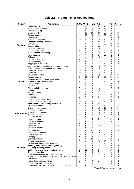|  | <b>Table 2.1. Frequency of Applications</b> |  |  |
|--|---------------------------------------------|--|--|
|--|---------------------------------------------|--|--|

| <b>Sector</b>   | <b>Application</b>                                            | $%$ GB                  | % NL            | $%$ DK          | %E              | % l         |                 | % GR % Total    |
|-----------------|---------------------------------------------------------------|-------------------------|-----------------|-----------------|-----------------|-------------|-----------------|-----------------|
|                 | Oceanography                                                  | 32                      | 15              | 13              | 52              | 25          | 30              | 29              |
|                 | <b>Environmental sciences</b>                                 | 22                      | 15              | 10              | 30              | 15          | 10              | 19              |
|                 | Coastal modelling                                             | 17                      | 5               | 6               | 27              | 25          | 20              | 17              |
|                 | Ocean modelling                                               | 15                      | 10              | 16              | 27              | 20          | 0               | 17              |
|                 | Remote sensing                                                | 20                      | 15              | 6               | 12              | 20          | 30              | 15              |
|                 | Data centre                                                   | 12                      | 25              | 3               | 21              | 5           | 20              | 14              |
| Research        | Shelf seas modelling                                          | 20                      | 10              | 6               | 18              | 10          | 10              | 14              |
|                 | Basic and strategic research                                  | 12                      | 20              | 3               | 24              | 10          | 0               | 13              |
|                 | Climate change                                                | 17                      | 5               | 6               | 15              | 20          | 10              | 13              |
|                 | Marine biology                                                | 17                      | 0               | 6               | 33              | 0           | 0               | 13              |
|                 | <b>Estuarine modelling</b>                                    | 17<br>7                 | 0<br>10         | 10<br>3         | 18<br>9         | 5<br>20     | 0<br>30         | 11<br>10        |
|                 | Acoustics, electronics<br>marine weather forecasting          | $\overline{2}$          | 15              | 10              | 12              | 10          | 10              | 9               |
|                 | Polar research                                                | 12                      | 0               | 6               | 9               | 20          | 0               | 9               |
|                 | Fisheries                                                     | 10                      | 0               | 6               | 15              | 0           | 0               | 7               |
|                 | Climate forecasting                                           | $\overline{7}$          | 5               | 6               | 12              | 0           | 10              | 7               |
|                 | Civil engineering                                             | 5                       | 0               | 0               | 12              | 5           | 20              | 6               |
|                 | shipping/naval architecture                                   | 2                       | 5               | 0               | 3               | 10          | 10              | 4               |
|                 | Metocean survey, mapping, hydrographic surveys                | 15                      | $\overline{20}$ | $\overline{26}$ | $\overline{18}$ | 20          | $\overline{20}$ | 19              |
|                 | Project management, non-defence, consultancy                  | 12                      | 15              | 10              | 15              | 5           | 20              | 12              |
|                 | Data consultancy                                              | 10                      | 25              | 3               | 12              | 10          | 10              | 11              |
|                 | Data services                                                 | 10                      | 20              | 3               | 15              | 10          | 10              | 11              |
|                 | Weather forecasting                                           | 10                      | 15              | 3               | 12              | 5           | 30              | 10              |
|                 | Remote sensing                                                | $\mathbf 0$             | 15              | 3               | 9               | 25          | 30              | 10              |
|                 | Data transmission, telecommunications                         | 5                       | 15              | 0               | 12              | 5           | 30              | 8               |
| <b>Services</b> | Inspection, maintenance, repair                               | $\overline{2}$          | 5               | 10              | 12              | 10          | 0               | 7               |
|                 | Climate forecasting                                           | $\overline{\mathbf{c}}$ | 10              | 3               | 15              | 0           | 10              | 6               |
|                 | Ship routing                                                  | 5                       | 10              | 3               | 3               | 0           | 30              | 6               |
|                 | Diving, including suppliers                                   | $\mathbf 0$             | 0               | 3               | 18              | 5           | 0               | 5               |
|                 | <b>Services</b>                                               | 2                       | 5               | 0               | 15              | 5           | 0               | 5<br>4          |
|                 | Salvage, towing<br>Certification                              | $\overline{2}$<br>2     | 5<br>5          | 6<br>0          | 6<br>3          | 0<br>0      | 0<br>10         | 3               |
|                 | Insurance                                                     | $\overline{2}$          | 0               | 3               | 3               | 0           | 10              | 3               |
|                 | Environmental quality control                                 | 10                      | 5               | 13              | $\overline{27}$ | 30          | $\overline{30}$ | $\overline{17}$ |
|                 | Environmental data services                                   | 10                      | 10              | 3               | 21              | 15          | 30              | 13              |
|                 | <b>Environmental protection/preservation</b>                  | $\overline{7}$          | 5               | 6               | 24              | 20          | 0               | 12              |
|                 | Oil pollution control                                         | 17                      | 5               | 10              | 15              | 10          | 0               | 12              |
|                 | <b>Environmental forecasts</b>                                | 15                      | 0               | 3               | 18              | 15          | 0               | 10              |
|                 | Estuarine pollution                                           | 15                      | 0               | 0               | 18              | 15          | 10              | 10              |
| Environment     | Non-oil pollution control                                     | 15                      | 0               | 0               | 15              | 10          | 10              | 9               |
|                 | Species protection                                            | 10                      | 0               | 3               | 15              | 5           | 10              | 8               |
|                 | Flood protection                                              | 10                      | 0               | 6               | 3               | 10          | 0               | 6               |
|                 | Marine reserves                                               | 10                      | 0               | 3               | 6               | 5           | 10              | 6               |
|                 | Safe waste disposal                                           | 10                      | 0               | 3               | 6               | $\mathbf 0$ | 10              | 5               |
|                 | Clean beaches                                                 | 7                       | 0               | 0               | 12              | 0           | 0               | 5               |
|                 | <b>Health hazards</b>                                         | 5<br>$\overline{7}$     | 0<br>0          | 0<br>0          | 12              | 0           | 0               | 4               |
|                 | Amenity evaluation<br>Port construction                       | $\overline{5}$          | $\mathbf 0$     | 29              | 0<br>18         | 0<br>5      | 0<br>20         | 2<br>13         |
|                 | Consulting engineering                                        | 10                      | 10              | 16              | 18              | 5           | 10              | 12              |
|                 | Coastal defences                                              | 10                      | $\mathbf 0$     | 13              | 12              | 15          | 30              | 12              |
|                 | Dredging                                                      | 5                       | 5               | 19              | 9               | 0           | 20              | 9               |
|                 | Land reclamation                                              | $\sqrt{2}$              | 5               | 13              | 15              | 0           | 10              | 8               |
|                 | Barrage construction                                          | 2                       | 0               | 6               | 18              | 10          | 0               | 7               |
|                 | Offshore construction, platforms, etc.                        | 5                       | 5               | 6               | 3               | 10          | 20              | 6               |
|                 | Building, construction, and engineering                       | $\mathbf 0$             | 10              | 6               | 12              | 0           | 10              | 6               |
| <b>Building</b> | Pipelining, trenching, burial                                 | $\overline{2}$          | 10              | 3               | 9               | 0           | 20              | 6               |
|                 | Cables, manufacture and operations, laying                    | $\sqrt{2}$              | 10              | 3               | 6               | 5           | 10              | 5               |
|                 | Tunnel construction                                           | $\sqrt{2}$              | 5               | 13              | 0               | 0           | 10              | 5               |
|                 | Corrosion prevention, paint, antifouling, etc                 | $\mathbf 0$             | 0               | 6               | 0               | 10          | 20              | 4               |
|                 | Marine propulsion, efficient ship, automatic ships, DP, props | $\pmb{0}$               | 10              | 0               | 0               | 10          | 10              | 3               |
|                 | Outfalls/intakes                                              | 2                       | 5               | 6               | 3               | 0           | 0               | 3               |
|                 | Heavy lifting, cranes, winches                                | 0                       | 5               | 6               | 3               | 0           | 0               | 3               |
|                 | Ship-building, non-defence, all kinds                         | $\pmb{0}$               | 5               | 0               | 0               | 0           | 10              | 1               |
|                 | Components, hydraulics, motors, pumps, batteries, etc.        | 0                       | 0               | 0               | 0               | 5           | 0               | 1               |

*Table 2.1 continues next page*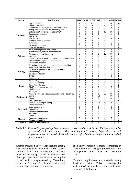| <b>Sector</b>    | <b>Application</b>                                                                                |                     |                     | % GB % NL % DK | %E              | $%$ l          |                       | % GR % Total |
|------------------|---------------------------------------------------------------------------------------------------|---------------------|---------------------|----------------|-----------------|----------------|-----------------------|--------------|
|                  | Port operations                                                                                   | 7                   | 5                   | 29             | 12              | 5              | 30                    | 14           |
| <b>Transport</b> | Shipping operations                                                                               | $\overline{2}$      | 20                  | 16             | 12              | 10             | 10                    | 11           |
|                  | Navigational safety, lights etc. Electronic charts                                                | $\overline{2}$      | 15                  | 10             | 12              | 5              | 30                    | 10           |
|                  | Safety services, rescue, life preserving, fire                                                    | 5                   | 10                  | 16             | 9               | 0              | 0                     | 8            |
|                  | Submersible/submarine operations/ROVs                                                             | 7                   | $\mathbf 0$         | 0              | 6               | 10             | 20                    | 6            |
|                  | Bridges, sea channels                                                                             | 2                   | 5                   | 6              | 6               | 0              | 10                    | 5            |
|                  | <b>Transport</b>                                                                                  | $\overline{2}$      | 5                   | 3              | 12              | 0              | $\Omega$              | 5            |
|                  | Barrage roads                                                                                     | $\mathbf{0}$        | $\Omega$            | 0              | 9               | 0              | 10                    | 3            |
|                  | Tunnel subsea operations                                                                          | 0                   | 0                   | 3              | 9               | 0              | 0                     | 3            |
|                  | Causeway                                                                                          | 0                   | 0                   | 3              | 6               | 0              | $\mathbf 0$           | $\mathbf 2$  |
|                  | Hovercraft operations                                                                             | 0                   | $\mathbf 0$         | 3              | 3               | 5              | $\mathbf 0$           | $\mathbf 2$  |
|                  | Hydrofoil operations                                                                              | 0                   | 5                   | 0              | 3               | 5              | 0                     | $\mathbf 2$  |
|                  | ASW, oceanographic applications                                                                   | 15<br>12            | $\overline{5}$<br>5 | 0<br>3         | 3               | 10             | $\overline{30}$<br>10 | 8<br>7       |
|                  | Military vessels, surface and submarine                                                           | $\overline{2}$      |                     | 3              | 3               | 10<br>15       | 30                    | 6            |
|                  | Navigation, position fixing, etc.<br><b>Defence</b>                                               |                     | 5<br>5              | 6              | 3<br>6          |                | 10                    |              |
| <b>Defence</b>   |                                                                                                   | 5                   | 5                   | 3              | 3               | 5<br>5         | 30                    | 6<br>5       |
|                  | Operations and efficiency, logistics, controls, computing<br>Defence sales, equipment, components | 2<br>$\overline{c}$ | 5                   | 0              | 3               | 5              | 10                    | 3            |
|                  | Underwater weapons                                                                                | $\overline{2}$      | 5                   | 0              | 3               | 5              | 10                    | 3            |
|                  | Oil and gas exploration and prospecting, and drilling                                             | 10                  | 10                  | 3              | 3               | $\overline{5}$ | 10                    | 6            |
|                  | Wind energy, offshore installation                                                                | 2                   | 0                   | 10             | 0               | 5              | 10                    | 4            |
|                  | Oil and gas production (Oil companies only)                                                       | 5                   | 10                  | 0              | 0               | 0              | 10                    | 3            |
| <b>Energy</b>    | Wave energy                                                                                       | 5                   | $\Omega$            | $\Omega$       | 0               | 5              | $\mathbf 0$           | 2            |
|                  | <b>Energy production</b>                                                                          | 2                   | $\Omega$            | $\Omega$       | 0               | 0              | $\Omega$              | 1            |
|                  | <b>OTEC</b>                                                                                       | 2                   | 0                   | 0              | 0               | 0              | $\mathbf 0$           | 1            |
|                  | Tidal energy                                                                                      | $\overline{2}$      | 0                   | 0              | 0               | 0              | $\mathbf 0$           | 1            |
|                  | Fish farming                                                                                      | 5                   | $\overline{0}$      | 3              | $\overline{27}$ | $\overline{5}$ | $\overline{0}$        | 8            |
|                  | Fisheries, catching                                                                               | 7                   | $\Omega$            | 3              | 3               | 0              | 0                     | 3            |
|                  | Food from the sea                                                                                 | 5                   | 0                   | 0              | 6               | 0              | 0                     | 3            |
| Food             | Shellfish, crustacea, farming                                                                     | $\overline{2}$      | 0                   | 0              | 9               | 0              | $\mathbf 0$           | 3            |
|                  | Shellfisheries                                                                                    | 5                   | $\Omega$            | 0              | 6               | 0              | $\mathbf 0$           | 3            |
|                  | Fishing gear                                                                                      | $\overline{2}$      | $\Omega$            | 3              | 3               | 0              | $\Omega$              | 2            |
|                  | Marine electronics, instruments, radar, opto-electronics,                                         | 0                   | 0                   | 0              | 6               | 20             | 30                    | 6            |
| <b>Equipment</b> | <b>Buoys</b>                                                                                      | 0                   | 0                   | 0              | 12              | 5              | 30                    | 5            |
|                  | Sonar                                                                                             | 0                   | $\Omega$            | 0              | 3               | 5              | 20                    | 3            |
|                  | <b>Equipment sales</b>                                                                            | $\Omega$            | $\Omega$            | 0              | 3               | 0              | 0                     | 1            |
|                  | Land use planning or zoning                                                                       | 0                   | $\Omega$            | 3              | 18              | 10             | 10                    | 6            |
|                  | Urban management                                                                                  | 0                   | 0                   | 0              | 15              | 0              | 0                     | 3            |
|                  | Local government                                                                                  | 0                   | 0                   | 0              | 6               | 5              | 0                     | $\mathbf 2$  |
| Hinterland       | Agriculture                                                                                       | 0                   | $\Omega$            | 3              | 3               | 0              | $\Omega$              | 1            |
|                  | Wetlands management                                                                               | 0                   | 0                   | 0              | 6               | 0              | 0                     | 1            |
|                  | <b>Hinterland</b>                                                                                 | 0                   | 0                   | 0              | 3               | 0              | $\mathbf 0$           | 1            |
|                  | Public health                                                                                     | $\Omega$            | 0                   | 0              | 3               | 0              | $\mathbf 0$           | 1            |
| <b>Mineral</b>   | Aggregate, sand, gravel                                                                           | $\overline{5}$      | $\overline{5}$      | 3              | $\overline{6}$  | 5              | 0                     | 5            |
|                  | <b>Mineral extraction</b>                                                                         | 0                   | 5                   | 0              | 3               | 0              | 0                     | 1            |
| Tourism          | <b>Tourism and recreation</b>                                                                     | $\overline{0}$      | $\Omega$            | 10             | $\overline{6}$  | 5              | $\Omega$              | 4            |

**Table 2.1.** *Relative frequency of Applications ranked by totals within each Sector. 100% = total number of respondents in that country. Due to multiple selections of Applications by each respondent sums can exceed 100. Applications set off in bold letters represent non-specified, generic answers.*

Another frequent Sector of Applications among ERS respondents is "Building". Here, coastal activities like "Port construction", "Coastal defences", "Dredging", "Land reclamation", and "Barrage construction" are all found among the top of the list, complemented by "Consulting engineering" on rank 2. Offshore activities, on the other hand, are not so prominent.

The Sector "Transport" is mainly represented by "Port operations", "Shipping operations", and "Navigational safety, lights etc., electronic charts"

"Defence" applications are relatively evenly distributed with "ASW, oceanographic applications" topping the list and "Underwater weapons" at the low end.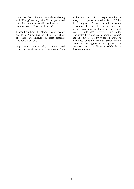More than half of those respondents dealing with "Energy" are busy with Oil and gas related activities and about one third with regenerative energies (Wind, Wave, Tidal energy).

Respondents from the "Food" Sector mainly engage in Aquaculture activities. Only about one third are involved in catch fisheries (including shellfish).

"Equipment", "Hinterland", "Mineral" and "Tourism" are all Sectors that never stand alone

as the sole activity of ERS respondents but are always accompanied by another Sector. Within the "Equipment" Sector, respondents mainly concentrate their activities on the making of marine instruments and buoys but rarely with<br>sales. "Hinterland" activities are often sales. "Hinterland" activities are often represented by "Land use planning or zoning" and in only 1 case by "public health". As mentioned above, the "Mineral" Sector is solely represented by "aggregate, sand, gravel". The "Tourism" Sector, finally is not subdivided in the questionnaire.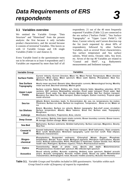#### **3.1 Variables overview**

We omitted the Variable Groups "Data Structure" and "Hinterland" from the present analysis: the first because it only includes product characteristics, and the second because it consists of terrestrial Variables. This leaves us with 12 Variable Groups and 136 single Variables (Table 3.1 and Annexe 2).

Every Variable listed in the questionnaire turns out to be relevant to at least 4 respondents and 5 Variables are requested by more than half of all respondents. 21 out of the 40 most frequently requested Variables (Table 3.2) are connected to the sea surface ("Surface Fields", "Sea Surface Topography" or "Upper Layer Fields"). Of these, Current velocity and Current direction top the list (each requested by about 60% of respondents), followed by other Surface Variables, such as several Wave characteristics, Sea surface temperature and Sea surface salinity, Wind stress, Oceanic tides, Sea level, etc. Seven of the top 40 Variables are related to "Coastal and Shelf", e.g. Bathymetric measurements and Sediment transport.

| <b>Variable Group</b>               | <b>Variables</b>                                                                                                                                                                                                                                                                                                                                                                                       |
|-------------------------------------|--------------------------------------------------------------------------------------------------------------------------------------------------------------------------------------------------------------------------------------------------------------------------------------------------------------------------------------------------------------------------------------------------------|
| <b>Surface Fields</b>               | Current Velocity; Current Direction; Wave Hs; Wave Period; Temperature; Wave direction<br>spectrum; Wind stress; Wave spectrum; Wave swell; Salinity; Precipitation; Heat flux;<br>Moisture flux; CO <sub>2</sub> ; GHGs                                                                                                                                                                               |
| <b>Sea Surface</b><br>Topography    | Hourly mean sea level; Oceanic tides; Geostrophic currents; Meteorological forcing; Monthly<br>mean sea level; Sea level anomaly; Marine geoid                                                                                                                                                                                                                                                         |
| <b>Upper Layer</b><br><b>Fields</b> | Surface currents; Salinity; Eddies; jets; fronts; Velocity fields; Upwelling velocities; XCTD<br>sections; XBT sections; Downwelling velocities; Fresh water transport; Fresh water; Salt<br>transport; Fresh water flux; Heat content; Momentum fields; Salt flux; Carbon transport;<br>Buoyancy flux; Heat flux; Heat transport; Carbon budgets; Carbon inventory; Tropical upper<br>ocean structure |
| Sea Ice                             | Albedo; Extent, boundary, leads, %; Concentration; Air, sea, ice, temperatures; Ice motion;<br>Thickness; Surface ice state; Surface ice roughness; Temperature; ; Snow on ice; Water on<br>ice                                                                                                                                                                                                        |
| <b>Ice Shelves</b>                  | Extent, Boundary; Surface ice velocity; Bottom topography; Sub-shelf ocean circulation;<br>Surface temperature; Albedo; Mass balance; Snow line; Surface state; Topography;<br>Roughness                                                                                                                                                                                                               |
| <b>Icebergs</b>                     | Distribution; Numbers; Trajectories; Area, volume                                                                                                                                                                                                                                                                                                                                                      |
| Deep Ocean                          | CTD sections; Salinity; Inter-basin straits currents; Ocean boundary currents; Ocean tracers;<br>Ht storage; Carbon storage; Water storage                                                                                                                                                                                                                                                             |
| <b>Sea Bed</b>                      | Bathymetry; Surface sediments; Gridded bathymetry; Surface outcrops; Magnetics; Gravity;<br><b>Heat flow</b>                                                                                                                                                                                                                                                                                           |
| Coastal &<br><b>Shelf</b>           | Coastal bathymetry; Coastline map; Sediment transport; Shelf bathymetry; Tidal constants;<br>River runoff; Stratification; Hinterland topography; Land non-river runoff; Tidal ellipses;<br><b>Wetlands characteristics</b>                                                                                                                                                                            |
| Biogeo-<br>chemical                 | Phytoplankton; Suspended sediments; Chlorophyll; Nitrate; Oxygen; Phosphate;<br>Zooplankton; Silicate; Trace metals; Biological pigments; Petroleum hydrocarbons; Aquatic<br>toxins; Artificial radionuclides; PAHs; Pesticides & Herbicides; Carbon dioxide; Iron; Human<br>health risks; Pathogens; Synthetic organics; Tritium; Pharmaceutical wastes                                               |
| <b>Optics</b>                       | Depth of photic zone;<br>Secchi<br><b>Transmissivity;</b><br>depth;<br><b>Bioluminescence:</b><br>disk<br><b>Phosphorescence; Incident light spectrum; RS reflected light spectrum</b>                                                                                                                                                                                                                 |
| <b>Acoustics</b>                    | Sound velocity profiles; Acoustic scattering; Ambient noise spectrum; Seabed acoustic<br>prop's; Acoustic tomography; Acoustic models (shelf); Sound ray paths; Reverberation<br>characteristics; Anthropogenic noise; Acoustic models (oceanic); Acoustic thermometry                                                                                                                                 |

**Table 3.1.** *Variable Groups and Variables included in ERS questionnaire. Variables within each Group listed in order of frequency of request by respondents*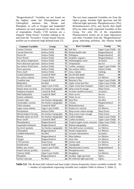"Biogeochemical" Variables are not found on the highest ranks but Phytoplankton and Chlorophyll, nutrients like Nitrate and Phosphate, as well as Oxygen and Suspended sediments are each requested by about one fifth of respondents. Finally, CTD sections are a frequent "Deep Ocean" Variable ranking at 34, and from the "Acoustics" Group Sound velocity profiles are in relatively high demand (rank 37).

The two least requested Variables are from the Optics group: Incident light spectrum and RS reflected light spectrum. Phosphorescence (3%), Bioluminescence (5%), and Secchi disk depth (6%) are other rarely requested Variables of this Group. For only 4% of the respondents Pharmaceutical wastes are of some importance and other Variables from the "Biogeochemical" group indicating pollution, like Human health

| <b>Common Variables</b>  | Group                     | No | <b>Rare Variables</b>           | Group                     | $\overline{No}$         |
|--------------------------|---------------------------|----|---------------------------------|---------------------------|-------------------------|
| <b>Current Velocity</b>  | <b>Surface Fields</b>     | 94 | Salt flux                       | <b>Upper Layer Fields</b> | 12                      |
| <b>Current Direction</b> | <b>Surface Fields</b>     | 93 | Human health risks              | Biogeochemical            | 12                      |
| Waves Hs                 | <b>Surface Fields</b>     | 85 | Pathogens                       | Biogeochemical            | 12                      |
| <b>Wave Period</b>       | <b>Surface Fields</b>     | 81 | Synthetic organics              | Biogeochemical            | 12                      |
| Sea surface temperature  | <b>Surface Fields</b>     | 79 | Anthropogenic noise             | Acoustics                 | 11                      |
| Wave direction spectrum  | Surface Fields            | 75 | Temperature                     | Sea Ice                   | 11                      |
| Sea surface Wind stress  | <b>Surface Fields</b>     | 71 | Carbon transport                | <b>Upper Layer Fields</b> | 11                      |
| Wave spectrum            | <b>Surface Fields</b>     | 68 | Sea surface GHGs                | <b>Surface Fields</b>     | 11                      |
| Wave swell               | <b>Surface Fields</b>     | 67 | Area, volume                    | Icebergs                  | 10                      |
| Coastal bathymetry       | Coastal & Shelf           | 60 | Secchi disk depth               | Optics                    | 10                      |
| Sea surface salinity     | <b>Surface Fields</b>     | 60 | Extent, boundary                | Ice Shelves               | 10                      |
| Coastline map            | Coastal & Shelf           | 58 | Buoyancy flux                   | <b>Upper Layer Fields</b> | 10                      |
| Bathymetry               | Sea Bed                   | 56 | Upper ocean heat flux           | <b>Upper Layer Fields</b> | 10                      |
| Surface currents         | <b>Upper Layer Fields</b> | 55 | Upper ocean heat transport      | <b>Upper Layer Fields</b> | 10                      |
| Hourly mean sea level    | Sea Surface topography    | 48 | Deep ocean ht storage           | Deep Ocean                | $\boldsymbol{9}$        |
| Sediment transport       | Coastal & Shelf           | 44 | Acoustic models (oceanic)       | Acoustics                 | 9                       |
| Shelf bathymetry         | Coastal & Shelf           | 41 | Snow on ice                     | Sea Ice                   | $\overline{9}$          |
| Surface sediments        | Sea Bed                   | 39 | Water on ice                    | Sea Ice                   | $\overline{9}$          |
| Oceanic tides            | Sea Surface topography    | 38 | Heat flow                       | Sea Bed                   | $\overline{9}$          |
| Geostrophic currents     | Sea Surface topography    | 35 | Tritium                         | Biogeochemical            | $\overline{9}$          |
| <b>Tidal</b> constants   | Coastal & Shelf           | 35 | Bioluminescence                 | Optics                    | 8                       |
| Upper ocean salinity     | <b>Upper Layer Fields</b> | 35 | Surface ice velocity            | <b>Ice Shelves</b>        | $\bf 8$                 |
| Precipitation            | <b>Surface Fields</b>     | 35 | Deep ocean carbon storage       | Deep Ocean                | 8                       |
| Meteorological forcing   | Sea Surface topography    | 34 | Deep ocean water storage        | Deep Ocean                | $\overline{\mathbf{8}}$ |
| Monthly mean sea level   | Sea Surface topography    | 34 | Carbon budgets                  | <b>Upper Layer Fields</b> | 8                       |
| River runoff             | Coastal & Shelf           | 34 | Carbon inventory                | <b>Upper Layer Fields</b> | 8                       |
| Phytoplankton            | Biogeochemical            | 34 | Tropical upper ocean, structure | <b>Upper Layer Fields</b> | 8                       |
| Suspended sediments      | Biogeochemical            | 34 | Bottom topography               | Ice Shelves               | $\overline{7}$          |
| Sea level anomaly        | Sea Surface topography    | 33 | Sub-shelf ocean circulation     | Ice Shelves               | $\overline{7}$          |
| Chlorophyll              | Biogeochemical            | 33 | Surface temperature             | <b>Ice Shelves</b>        | $\overline{7}$          |
| Gridded bathymetry       | Sea Bed                   | 32 | Acoustic thermometry            | Acoustics                 | $\overline{7}$          |
| Nitrate                  | Biogeochemical            | 31 | Mass balance                    | Ice Shelves               | 6                       |
| Oxygen                   | Biogeochemical            | 31 | Snow line                       | Ice Shelves               | 6                       |
| CTD sections             | Deep Ocean                | 30 | Surface state                   | Ice Shelves               | 6                       |
| Stratification           | Coastal & Shelf           | 30 | Topography                      | Ice Shelves               | 6                       |
| Eddies, jets, fronts     | <b>Upper Layer Fields</b> | 30 | Pharmaceutical wastes           | Biogeochemical            | 6                       |
| Sound velocity profiles  | Acoustics                 | 29 | Phosphorescence                 | Optics                    | 5                       |
| Velocity fields          | <b>Upper Layer Fields</b> | 29 | Roughness                       | Ice Shelves               | $\overline{\mathbf{5}}$ |
| Phosphate                | Biogeochemical            | 29 | Incident light spectrum         | Optics                    | $\overline{\mathbf{4}}$ |
| Surface outcrops         | Sea Bed                   |    | 26 RS reflected light spectrum  | Optics                    | $\overline{\mathbf{4}}$ |

**Table 3.2.** *The 40 most (left column) and least (right column) frequently chosen variables (ranked). No = number of respondents requesting variable (see complete Table in Annexe 5, Table 1).*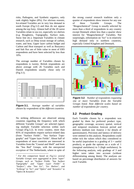risks, Pathogens, and Synthetic organics, only rank slightly higher (8%). For obvious reasons, Ice-related Variables are in very low demand in south Europe (Fig.3.2) and thus do not appear among the top forty. Almost half of the 20 rarest Variables relate to sea ice, especially ice shelves (e.g. Roughness, Topography, Surface state, Snow line etc.). Important Variables in climate research, such as Deep ocean storage of carbon, water, and heat, Upper layer carbon budget and Carbon and Heat transport as well as Buoyancy and Salt flux are of little value to most of ERS respondents and have been selected by less than 10%.

The average number of Variables chosen by respondents is twenty. British respondents are above average with 26 Variables each and Danish respondents usually chose only 14 (Fig.3.1).



**Figure 3.1.** *Average number of variables chosen by respondents of the different countries*

No striking differences are observed among countries regarding the frequency with which different Variable Groups<sup>1</sup> are selected (ignoring multiple Variable selection within each Group) (Fig.3.2). In every country, more than 85% of respondents request surface-related data (from "Surface Fields", "Sea Surface Topography" and "Upper layer Fields". About half of respondents of most countries are interested in Variables from the "Coastal and Shelf" and from the "Sea Bed" Groups, with the unexpected exception of The Netherlands, where in spite of

 $\overline{a}$ 

the strong coastal research tradition only a quarter of respondents show interest for any one of these Variable Groups. The "Biogeochemical" Group is usually selected by more than a third of respondents in any country except Denmark where less than a quarter show interest for "Biogeochemical" Variables. Not surprisingly, information on "Ice" is in relatively high demand only in northern countries, especially United Kingdom and Denmark.



**Figure 3.2**. *Number of respondents requesting one or more Variables from the Variable Groups listed. Note different scales based on number of respondents per country.*

## **3.2 Product Grading**

Each Variable chosen by a respondent was graded by them for preferred product type, geographic coverage, accuracy spatial, vertical and temporal resolution forecast period and delivery medium (see Annexe 2 for details of questionnaire). Precision and latency of delivery were omitted in this analysis. Respondents could either tick the values which they considered to be useful (equivalent to a grading of  $3 =$  useful product), or grade the options on a scale of 1 (marginal usefulness) to 5 (high usefulness). In the following analysis, only gradings of 3 and higher were taken into account (without differentiating among them). The analyses are based on percentage distribution of answers for each Variable.

*<sup>1</sup> For this comparison based on Fig.3.2, several Variable Groups were aggregated to form "super" Groups, such as "Surface Fields, "Sea Surface Topography" and "Upper Layer Fields" to "Surface"; also "Sea Ice", "Ice Shelves", and "Icebergs" to "Ice"; and "Optics" and "Acoustics" to "Optics & Acoustics"*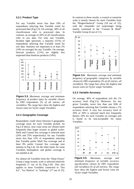#### **3.2.1 Product Type**

For any Variable never less than 18% of respondents selecting that Variable voted for processed data (Fig.3.3). On average, 28% of all classifications refer to processed data. In contrast, an average of 20% of all classifications refer to raw data. For only one Variable, Incident light spectrum, a majority (51%) of respondents selecting that Variable voted for raw data. Statistics are important to at least 5% (19% on average) for any Variable. On average, forecast products (11%) are slightly less requested than hindcast products (14%).



**Figure 3.3.** *Maximum, average and minimum frequency of product types by variable chosen by ERS respondents (% of all entries, all variables). The range bars show the highest and lowest votes (in %) for single Variables.*

#### **3.2.2 Geographic Coverage**

Respondents could chose between 6 geographic coverage areas for each Variable picked. As Fig.3.4 shows, near coast areas are chosen more frequently than larger oceanic to global scales. Shelf and Coastal Sea coverage is selected most (24% and 25% respectively): for any Variable never less than 15% of respondents selecting that Variable prefer Shelf Sea coverage and at least 8% prefer Coastal Sea coverage (see minima in Fig.3.4). On the other hand, for some Variables hemispheric and global coverage is not needed at all.

For almost all Variables from the "Deep Ocean" Group a large oceanic scale is selected relatively frequently (7 out of 8) (Fig.3.10). This also applies to most Variables connected to "Sea Ice", "Ice Shelves" or "Icebergs" (17 out of 25).

In contrast to these results, a coastal or estuarine scale is mostly chosen for most Variables from the "Biogeochemical" Group (18 out of 22), with the remainder not surprisingly being mainly contained in the "Coastal & Shelf" Variable Group (6 out of 11).



**Figure 3.4.** *Maximum, average and minimum frequency of geographic categories by variable chosen by ERS respondents (% of all entries, all variables). The range bars show the highest and lowest votes (in %) for single Variables.*

#### **3.2.3 Variable Accuracy**

On average, 40% of respondents tick the 1% accuracy level (Fig.3.5). Moreover, for any given Variable, never less than one fifth of respondents selecting that Variable choose a 1% accuracy level. A very low accuracy level of 20% or 30% is selected much less frequently (below 10% for each Variable on average) and is found to be non-acceptable for many Variables.



**Figure 3.5.** *Maximum, average and minimum frequency of variable accuracy specifications chosen by ERS respondents (all variables) (% of all entries). The range bars show the highest and lowest votes (in %) for single Variables.*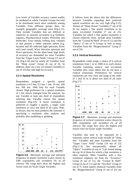Low levels of Variable accuracy cannot readily be attributed to whole Variable Groups but tend to be distributed much more randomly among Variables from different groups than, for example, geographic coverage areas (Fig.3.11). They include Variables that are difficult or expensive to measure accurately (e.g Synthetic organics, Pharmaceutical wastes, Pesticides and herbicides, Trace metals, Iceberg area, volume) or that possess a rather transient nature (e.g. Incident and RS reflected light spectrum, River and Land runoff, Wave direction spectrum and Wave spectrum). On the other hand, high levels of accuracy are demanded for most Variables from the "Upper Layer Fields" Group (12 out of 22) (Fig.3.10) and for nearly all Variables from the "Deep ocean" Group (6 out of 8). In addition, there are a few ice-related Variables (5 out of 25) that rank high for accuracy.

#### **3.2.4 Spatial Resolution**

Respondents assigned a specific spatial resolution (<0.5 km, 0.5 km, 1 km, 10 km, 100 km, 500 km, 1000 km) for each Variable chosen. High preference for a spatial resolution of 1 km clearly emerged from the analysis: for any Variable at least one third of respondents selecting that Variable choose this spatial resolution (Fig.3.6). A lower resolution is preferred in roughly a quarter, a larger scale resolution in circa one third of all cases. Note, as always, that for most products the customer is specifying a resolution after analysis and probably after modelling or gridding.



**Figure 3.6***. Maximum, average and minimum frequency of spatial resolution scales chosen by ERS respondents (all variables) (% of all entries). The range bars show the highest and lowest votes (in %) for single Variables.*

It follows from the above that the differences between Variables regarding their preferred spatial resolution are not very high (Fig.3.12). Almost all "Deep Ocean" Variables (7 out of 8) do not require a fine spatial resolution as do many ice-related Variables (7 out of 25). Variables for which a fine spatial resolution is chosen relatively often, include most Variables from the "Coastal & Shelf" (9 out of 11) and the "Optics" (5 out of 7) Groups as well as many Variables from the "Biogeochemical" Group (7 out of 22).

#### **3.2.5 Vertical Resolution**

Respondents could assign a choice of 6 vertical resolutions from 1 m to 1000 m to each chosen Variable (omitting surface- and ice-related Variables plus some others that do not have a vertical extension). Preferences for vertical resolutions are very clear and range in the order of 1 and 10 m in about two third of all cases (Fig.3.7).



**Figure 3.7**. *Maximum, average and minimum frequency of vertical resolution scales chosen by ERS respondents (all variables) (% of all entries). The range bars show the highest and lowest votes (in %) for single Variables.*

Variables that tend to be requested on a relatively coarse vertical scale include all "Deep Sea" Variables and most Variables from the "Upper Layer Field" Group (14 out of 22) (Fig.3.13). Not unexpectedly, almost all "Optics" Variables (6 out of 7) are found among the top 10 of those for which a fine resolution is often required. Other Variables with a fine resolution emphasis are from the "Acoustics" Group (6 out of 11), the "Coastal & Shelf" Group (4 out of 11) and the "Sea Bed" Group (3 out of 7). Some mainly chemical Variables from the "Biogeochemical" Group (5 out of 22) are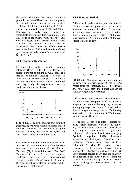also found within the fine vertical resolution group. In the case of Heat flow, almost a quarter of respondents are satisfied with a vertical resolution of 1,000 m and a total of 43% select coarse resolutions between 1,000 and 50 m. However, an equally large proportion of respondents prefer a very fine resolution of 1 m. This leads to the curious result that the same Variable appears in the "coarse" sample as well as in the "fine" sample. The same is true for Upper ocean heat content for which a coarse vertical resolution of 50 m and more is preferred by as many respondents as a fine resolution of 1m (36% both).

#### **3.2.6 Temporal Resolution**

Regarding the eight temporal resolution categories (from 1 h to  $>1$  y), differences in selection are not as striking as with spatial and vertical resolutions (Fig.3.8). However, in almost half of the cases a temporal resolution in the dimension of 6 hours to 1 day is preferred and very rarely do respondents select a resolution of more than 1 year.



**Figure 3.8**.*Maximum, average and minimum frequency of temporal resolution scales chosen by ERS respondents (all variables) (% of all entries). The range bars show the highest and lowest votes (in %) for single Variables.*

Very coarse temporal Variable resolutions of one year and more are relatively often (between 10% and 25%) chosen for all "Ice Shelves" Variables (Fig.3.14) and for most "Sea Bed" Variables (6 out of 7). A fine temporal resolution (1 and 6 hours) is very often required for many "Surface Fields" Variables (6 out of 15) especially those related to waves that top the fine temporal resolution list.

#### **3.2.7 Forecast Period**

Differences in preference for particular forecast periods are even less pronounced than those in temporal resolution scales (Fig.3.9). Averages are slightly larger for shorter forecast periods than for longer and range between 8% for very long periods of 30 years to about 25% for very short periods of 10 days.



**Figure 3.9**.*Maximum, average and minimum frequency of forecast period chosen by ERS respondents (all variables) (% of all entries). The range bars show the highest and lowest votes (in %) for single Variables.*

Differences in preference for particular forecast periods are even less pronounced than those in temporal resolution scales (Fig.3.9). Averages are slightly larger for shorter forecast periods than for longer and range between 8% for very long periods of 30 years to about 25% for very short periods of 10 days.

A long forecast period is often requested for many "Biogeochemical" Variables (12 out of 22), of which quite a few are connected to anthropogenic contaminants (including pollution) and human health concerns (e.g. Synthetic organics, PAHs, Petroleum hydrocarbons, Pathogens, Pesticides and Herbicides, Human health risks, Artificial radionuclides) (Fig.3.15). Also, many respondents wish long-term forecast for a number of "Ice Shelves" Variables (6 out of 10). Short forecast periods of 10 days are relatively often requested for most Variables from the "Upper layer Field" Group (12 out of 22) and for all "Iceberg" Variables (in contrast to "Ice Shelves").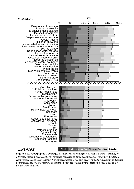

**Figure 3.10. Geographic Coverage**. *Frequency of selection (in % of requests of that variable) of different geographic scales. Above: Variables requested on large oceanic scales; ranked by* Σ *(Global, Hemisphere, Ocean Basin). Below: Variables requested for coastal areas, ranked by* Σ *(Estuarine, Coastal Sea) (reverse order). The meaning of the tint on each bar is given by the labels on the scale bar at the bottom of the diagram.*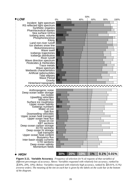

# *HIGH*

**Figure 3.11. Variable Accuracy**. *Frequency of selection (in % of requests of that variable) of different percentages of accuracy. Above: Variables requested with relatively low accuracy, ranked by* <sup>Σ</sup>*(30%, 20%, 10%). Below: Variables requested with relatively high accuracy, ranked by* Σ*(0.01%, 0.1%) (reverse order). The meaning of the tint on each bar is given by the labels on the scale bar at the bottom of the diagram.*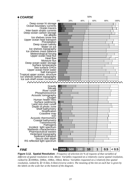

**Figure 3.12. Spatial Resolution**. *Frequency of selection (in % of requests of that variable) of different of spatial resolution in km. Above: Variables requested on a relatively coarse spatial resolution, ranked by* Σ*(1000km, 500km, 100km, 10km). Below: Variables requested on a relatively fine spatial resolution, ranked by* Σ*(<0.5km, 0.5km) (reverse order). The meaning of the tint on each bar is given by the labels on the scale bar at the bottom of the diagram.*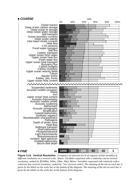

**Figure 3.13. Vertical Resolution**. *Frequency of selection (in % of requests of that variable) of different resolution on a vertical scale. Above: Variables requested with a relatively coarse vertical resolution, ranked by* Σ*(1000m, 500m, 100m, 50m). Below: Variables requested with relatively with a relatively fine vertical resolution, ranked by "1m" (reverse order). The meaning of the tint on each bar is given by the labels on the scale bar at the bottom of the diagram. The meaning of the tint on each bar is given by the labels on the scale bar at the bottom of the diagram.*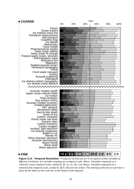

**Figure 3.14. Temporal Resolution**. *Frequency of selection (in % of requests of that variable) of different resolutions for variable sampling on a temporal scale. Above: Variables requested on a relatively coarse temporal scale, ranked by* Σ*(>1y, 1y, 3m, 1m). Below: Variables requested on a relatively fine temporal scale, ranked by* Σ*(1h, 6h) (reverse order). The meaning of the tint on each bar is given by the labels on the scale bar at the bottom of the diagram.*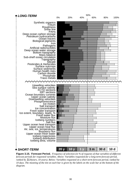

**Figure 3.15. Forecast Period.** *Frequency of selection (in % of requests of that variable) of different forecast periods for requested variables. Above: Variables requested for a long-term forecast period, ranked by* Σ*(20years, 10 years). Below: Variables requested on a short-term forecast period, ranked by 10 days. The meaning of the tint on each bar is given by the labels on the scale bar at the bottom of the diagram.*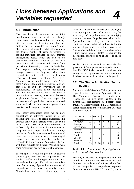## **4.1 Introduction**

The data base of responses to the ERS questionnaire can be used to identify connections, correlations and trends in many different ways. In designing an observing system one is interested in finding what observations will provide useful information to the greatest number of users, or perhaps to specific industries, services, or environmental management bodies which are held to be particularly important. Alternatively, we may want to find what activities will benefit from provision or forecasting of particular Variables. This requires studying the correlation and linkages between the frequency with which respondents with different applications requested different variables. Are there Variables that are wanted by everybody? Are these Variables the ones they want most, or are they 5th or 10th on everybody's list of requirements? Are some of the high-ranking Variables urgently required by all the users in one Applications Sector, or scattered between Applications Sectors? Can we target the development of a particular channel of data and show that it will be useful to a user group which is active in all European countries?

Since many respondents listed two or more applications in different Sectors it is not possible in those cases to derive a necessary link between activity and Variable, even if one could make a sound guess. In Chapter 4 therefore, we analyse only the responses from institutes or companies which report Applications in only one Sector. In order to ensure that the number of cases are large enough to give meaningful comparisons, we correlate the number of respondents from a whole Applications Sector with their requests for different Variables, with some preliminary analysis by Variable Groups.

In principle it would be possible to analyse single Applications and their requirements for single Variables. For the Applications with most respondents this is possible with the present data base. But for many Applications the number of respondents is too small to identify trends. Nevertheless, even where a single reply form

states that a shellfish farmer or a pipelaying company requires a particular type of data, this is a fact, and may be useful in identifying potential markets. Organisations with similar Applications are likely to have similar requirements. An additional problem is that the number of potential correlations between all Applications and their required Variables would require many tens of tables to display the information, and there is no space to do this in hard copy.

Readers of this report with particular detailed questions of this type are encouraged to contact their EuroGOOS Member which conducted the survey, or to request access to the electronic data base, where such questions can be posed.

## **4.2 The Single Application Sector subset**

About one third (55) of the 155 respondents are engaged in just one single Application Sector. The Variables requested by Single-Sector respondents can give some insights in the diverse data requirements by different usage groups. As already remarked in 2.1, most single Sector respondents are from northern European countries (Table 4.1).

| Application     |    | $UK$ $DK$ $NL$ $E$ |    |   |   | GR Total       |
|-----------------|----|--------------------|----|---|---|----------------|
| <b>Sectors</b>  |    |                    |    |   |   |                |
| Research        | 12 | 3                  | 4  | 4 | 3 | 26             |
| Transport       |    |                    | 3  |   |   | 11             |
| Environment     |    | 2                  |    |   | 1 | 5              |
| <b>Building</b> |    |                    | 2  |   |   |                |
| Defence         | 3  |                    |    |   |   | 3              |
| Food            |    |                    |    | 3 |   | 3              |
| Energy          |    |                    | 1  |   |   | $\overline{2}$ |
| Services        |    |                    |    |   |   |                |
| Total           | 19 | 12                 | 10 | 9 |   | 55             |

**Table 4.1.** *Numbers of Single-Application-Sector respondents by country*

The only exceptions are respondents from the "Food" and "Environment" Sectors where south European respondents predominate. Almost half of the Single-Sector respondents represent Research institutions (26, 12 from UK) and a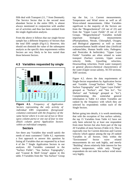fifth deal with Transport (11, 7 from Denmark). The Service Sector that is the second most abundant Sector in the entire ERS, is almost always mentioned in conjunction with another set of activities and thus has been omitted from the single-Application analysis.

From the above it follows that our single-Sector sample has a different frequency of Sectors than the total ERS sample (Fig.4.1). However, this should not diminish the value of the subsequent analysis as the specific data requirements within Sectors are very likely to be less varied than those between Sectors.



# **4.3 Variables requested by single**

**Figure 4.1.** *Frequency of Application Sectors representing the only activity of individual ERS respondents (foreground columns) contrasted with the frequency of the same Sector where it is one out of two or three (grey column parts) or one out of four to nine (black column parts) Application Sectors within an individual company.*

## **Sectors**

Are there any Variables that would satisfy the needs of most customers? Table 4.2. represents a first approach to answer this question by listing all Variables that are requested by at least 4 of the 7 Single Application Sectors in our analyses. All Variables contained in the "Surface Fields", "Sea Surface Topography", and "Coastal & Shelf Group" appear in this table. 9 Variables from the "Sea Surface" Group

top the list, i.e. Current measurements, Temperature and Wind stress as well as all Wave-related measurements. Other Variables significant to the majority of the Sectors are from the "Biogeochemical" (10 out of 22) and from the "Upper Layer Fields" (9 out of 22) Groups. "Biogeochemical" Variables include important biological measurements (Phytoplankton, Nitrate, Chlorophyll, Oxygen, and Biological pigments) as well as some ecosystem/human health related data (Artificial radionuclides, Human health risks, Pathogens, and Pesticides & herbicides). "Upper Layer Fields" Variables are often related to water transport (Surface currents, Upper ocean velocity fields, Upwelling velocities, Downwelling velocities, Fresh water transport) or general physico-chemical characteristics of the water (Upper ocean salinity, XCTD sections, XBT sections.

Figure 4.2. shows the data requirements of Single-Sector respondents by Application Sector and Variable Group("Surface Fields", "Sea Surface Topography" and "Upper Layer Fields" grouped as "Surface", and "Sea Ice", "Ice Shelves" and "Icebergs" grouped as "Ice"). Complementing this somewhat general information is Table 4.3 where Variables are ranked by the frequency with which they are selected by respondents within each of the Single Sectors.

Before going into details, it is worth mentioning that with the exception of Sea surface salinity, the top 15 Variables from Table 4.2 have not only been selected by at least one respondent from most Sectors but also form part of the top 20 Variables of most Sectors (Table 4.3). This is especially true for Current direction and Current velocity which appear among the top 20 ranked Variables in all Sectors. Only within the "Environment" Sector wave related measurements do not rank highly, and merely "Building" shows relatively little interest for Sea surface temperature, while only "Energy" respondents do not rank Sea surface wind stress very highly.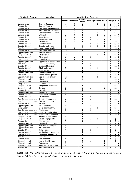| <b>Variable Group</b>                            | Variable                                          | <b>Application Sectors</b> |                           |                   |                                                  |                   |                |                   |                       |                              |
|--------------------------------------------------|---------------------------------------------------|----------------------------|---------------------------|-------------------|--------------------------------------------------|-------------------|----------------|-------------------|-----------------------|------------------------------|
|                                                  |                                                   |                            | <b>Research Transport</b> |                   | Environ-<br>Environ-Building Defence Food Energy |                   |                |                   | Σ                     | #                            |
| Surface fields                                   | <b>Current Direction</b>                          | 15                         | 8                         | 2                 | 4                                                | 1                 | 3              | 2                 | 35                    | $\overline{7}$               |
| Surface fields                                   | <b>Current Velocity</b>                           | 15                         | 7                         | 2                 | 4                                                | $\mathbf{1}$      | 3              | $\overline{2}$    | 34                    | $\overline{7}$               |
| Surface fields                                   | Sea surface temperature                           | 17                         | 4                         | 2                 | 1                                                | 1                 | 3              | $\mathbf{1}$      | 29                    | $\overline{7}$               |
| Surface fields                                   | Sea surface Wind stress                           | 14                         | 4                         | 2                 | 2                                                | 1                 | 2              | 1                 | 26                    | $\overline{7}$               |
| Surface fields                                   | Wave direction spectrum                           | 9                          | 4                         | 1                 | 4                                                | $\overline{2}$    | 3              | 2                 | 25                    | $\overline{7}$               |
| Surface fields                                   | Waves Hs                                          | 9                          | 3                         | 1                 | 4                                                | $\mathbf{1}$      | 3              | $\overline{2}$    | 23                    | $\overline{7}$               |
| Surface fields                                   | <b>Wave Period</b>                                | 8                          | 4                         | 1                 | 4                                                | 1                 | $\overline{2}$ | 2                 | 22                    | $\overline{7}$               |
| Surface fields                                   | Wave spectrum                                     | 9                          | 4                         | 1                 | 3                                                | $\overline{2}$    | 1              | 1                 | 21                    | $\overline{7}$               |
| Surface fields                                   | Wave swell                                        | $\overline{7}$             | 4                         | 1                 | 4                                                | $\mathbf{1}$      | 1              | $\overline{2}$    | 20                    | $\overline{7}$               |
| Coastal & Shelf                                  | Coastline map                                     | 8                          | 1                         | $\overline{2}$    | 2                                                | 2                 | $\mathbf{1}$   | 1                 | 17                    | $\overline{7}$               |
| Coastal & Shelf                                  | Coastal bathymetry                                | 9                          |                           | $\overline{2}$    | $\overline{2}$                                   | $\mathbf{1}$      | 1              | 1                 | 16                    | $\bf 6$                      |
| Sea Surface topography                           | Hourly mean sea level                             | 5                          | 5                         | 2                 | 2                                                | $\mathbf{1}$      |                | 1                 | 16                    | 6                            |
| Surface fields                                   | Sea surface salinity                              | 16                         | 1                         | $\overline{2}$    | 1                                                |                   |                | 1                 | 21                    | 5                            |
| <b>Upper Layer Fields</b>                        | Surface currents                                  | 11                         |                           |                   | 1                                                | $\overline{2}$    | 1              | $\overline{2}$    | 17                    | $\overline{\mathbf{5}}$      |
| Biogeochemical                                   | Phytoplankton                                     | 10                         |                           | $\overline{2}$    | 1                                                | 1                 | 1              |                   | 15                    | $\overline{\mathbf{5}}$      |
| Coastal & Shelf                                  | River runoff                                      | 8                          | 1                         | 1                 | $\overline{2}$                                   |                   |                | 1                 | 13                    | $\overline{\mathbf{5}}$      |
| Sea Surface topography                           | Oceanic tides                                     | $\overline{7}$             | 3                         | 1                 | 1                                                |                   |                | 1                 | 13                    | $\overline{\mathbf{5}}$      |
| <b>Upper Layer Fields</b>                        | Upper ocean velocity fields                       | $\overline{7}$             |                           | 1                 | 2                                                | 1                 |                | $\overline{2}$    | 13                    | $\overline{\mathbf{5}}$      |
| Sea Bed                                          | Gridded bathymetry                                | 7                          |                           | 1                 | 2                                                | $\mathbf{1}$      |                | 1                 | 12                    | 5                            |
| Coastal & Shelf                                  | Sediment transport                                | 5                          | 1                         | $\overline{2}$    | 2                                                |                   |                | 1                 | 11                    | $\overline{\mathbf{5}}$      |
| Coastal & Shelf                                  | Shelf bathymetry                                  | 6                          |                           | 1                 | 2                                                | $\mathbf{1}$      |                | 1                 | 11                    | $\overline{\mathbf{5}}$      |
| Coastal & Shelf                                  | <b>Tidal constants</b>                            | 6                          |                           | 1                 | $\overline{2}$                                   | $\mathbf{1}$      |                | 1                 | 11                    | $\overline{\mathbf{5}}$      |
| <b>Upper Layer Fields</b>                        | Upwelling velocities                              | 6                          |                           | 1                 | 1                                                | $\mathbf{1}$      |                | $\overline{2}$    | 11                    | $\overline{\mathbf{5}}$      |
| <b>Acoustics</b>                                 | Sound velocity profiles                           | $\overline{2}$             | 1                         |                   | 1                                                | 2                 |                | 1                 | $\overline{7}$        | 5                            |
| <b>Upper Layer Fields</b>                        | Upper ocean salinity                              | $\overline{12}$            |                           | 1                 |                                                  | $\overline{2}$    |                | $\mathbf{1}$      | 16                    | $\pmb{4}$                    |
| Biogeochemical                                   | Nitrate                                           | 9                          |                           | 4                 | 1                                                | 1                 |                |                   | 15                    | $\pmb{4}$                    |
| Biogeochemical                                   | Chlorophyll                                       | 9                          |                           | 3                 | 1                                                | 1                 |                |                   | 14                    | 4                            |
| Deep Ocean                                       | <b>CTD</b> sections                               | 11                         |                           |                   | 1                                                | $\mathbf{1}$      |                | $\mathbf{1}$      | 14                    | $\overline{\mathbf{4}}$      |
| Biogeochemical                                   | Suspended sediments                               | 9                          |                           | 1                 | 1                                                |                   | 2              |                   | 13                    | 4                            |
| Biogeochemical                                   |                                                   | 6                          |                           | 3                 | 1                                                |                   | $\overline{2}$ |                   | 12                    | 4                            |
| Surface fields                                   | Oxygen                                            | 9                          |                           | 1                 | 1                                                |                   |                | 1                 | 12                    | 4                            |
|                                                  | Precipitation<br>Eddies, jets, fronts             | 8                          |                           |                   | 1                                                | 1                 |                | $\overline{2}$    | 12                    | 4                            |
| <b>Upper Layer Fields</b><br>Coastal & Shelf     | Land non-river runoff                             | $\overline{7}$             |                           | 1                 | 2                                                |                   |                | 1                 | 11                    | $\pmb{4}$                    |
| Coastal & Shelf                                  | Stratification                                    | $\overline{7}$             |                           | 1                 | $\overline{2}$                                   |                   |                | 1                 | 11                    | $\overline{\mathbf{4}}$      |
|                                                  |                                                   | 8                          |                           | 1                 | 1                                                |                   |                | 1                 | 11                    | $\overline{\mathbf{4}}$      |
| Sea Surface topography                           | Geostrophic currents                              | $\overline{7}$             |                           | 1                 | $\overline{2}$                                   |                   |                | 1                 | 11                    | 4                            |
| Sea Surface topography<br>Surface fields         | Sea level anomaly                                 | 8                          |                           | 1                 | 1                                                |                   |                | 1                 |                       | $\overline{\mathbf{4}}$      |
|                                                  | Heat flux<br><b>XCTD</b> sections                 | 7                          |                           |                   | 2                                                |                   |                |                   | 11                    |                              |
| <b>Upper Layer Fields</b>                        |                                                   | $\overline{7}$             |                           |                   | 1                                                | 1<br>1            |                | 1<br>$\mathbf{1}$ | 11<br>10              | 4<br>$\overline{\mathbf{4}}$ |
| Deep Ocean                                       | Deep ocean salinity                               | 6                          |                           | 1                 | 2                                                |                   |                | 1                 | 10                    | 4                            |
| Sea Surface topography<br>Sea Surface topography | Marine geoid<br>Meteorological forcing            | 6                          |                           | $\overline{2}$    | 1                                                |                   |                | 1                 |                       | $\overline{\mathbf{4}}$      |
| Sea Surface topography                           | Monthly mean sea level                            | 6                          |                           | 1                 | $\overline{2}$                                   |                   |                | 1                 | 10<br>10              | $\overline{\mathbf{4}}$      |
|                                                  |                                                   |                            |                           |                   | 1                                                |                   |                |                   |                       |                              |
| Biogeochemical                                   | Artificial radionuclides                          | 6<br>$\overline{6}$        |                           | 1<br>1            | 1                                                | 1<br>$\mathbf{1}$ |                |                   | 9<br>$\boldsymbol{9}$ | 4<br>$\boldsymbol{4}$        |
| Biogeochemical<br>Surface fields                 | <b>Biological pigments</b><br>Moisture flux       | 6                          |                           | 1                 | $\mathbf{1}$                                     |                   |                | 1                 | 9                     |                              |
| <b>Upper Layer Fields</b>                        | Downwelling velocities                            | 5                          |                           |                   | 1                                                | 1                 |                | 2                 | 9                     | 4                            |
| <b>Upper Layer Fields</b>                        |                                                   | 6                          | 1                         |                   | 1                                                |                   |                | 1                 | 9                     | 4                            |
| <b>Upper Layer Fields</b>                        | Fresh water transport<br><b>XBT</b> sections      | $\overline{6}$             |                           |                   | 1                                                | $\mathbf{1}$      |                | 1                 | 9                     | 4<br>4                       |
|                                                  |                                                   |                            |                           |                   |                                                  |                   |                |                   |                       |                              |
| Coastal & Shelf<br>Coastal & Shelf               | <b>Tidal ellipses</b><br>Wetlands characteristics | 4<br>$\overline{4}$        |                           | 1<br>$\mathbf{1}$ | 2<br>$\overline{2}$                              |                   |                | 1<br>1            | 8<br>8                | 4<br>4                       |
|                                                  |                                                   | 3                          |                           | 1                 | 2                                                |                   |                | 1                 |                       | 4                            |
| Coastal & Shelf<br>Sea Ice                       | Hinterland topography<br>Ice motion               | $\overline{4}$             | 1                         |                   |                                                  |                   |                | 1                 | 7<br>$\overline{7}$   |                              |
| Surface fields                                   | Sea surface CO2                                   | $\overline{4}$             |                           |                   |                                                  | $\mathbf{1}$      |                | $\mathbf{1}$      |                       | 4                            |
|                                                  | Human health risks                                | $\overline{3}$             |                           | 1<br>1            | 1<br>$\mathbf{1}$                                |                   |                |                   | $\overline{7}$        | 4                            |
| Biogeochemical                                   |                                                   | $\overline{2}$             |                           | $\overline{2}$    | 1                                                |                   | 1<br>1         |                   | 6                     | 4<br>4                       |
| Biogeochemical                                   | Pathogens                                         | $\overline{3}$             |                           | 1                 | 1                                                |                   | 1              |                   | 6<br>6                |                              |
| Biogeochemical<br>Surface fields                 | Pesticides & Herbicides<br>Sea surface GHGs       | $\boldsymbol{2}$           |                           | 1                 | 1                                                |                   |                |                   | 5                     | 4                            |
|                                                  |                                                   |                            |                           |                   |                                                  |                   |                | 1                 |                       | 4                            |

**Table 4.2**. *Variables requested by respondents from at least 4 Application Sectors (ranked by no of Sectors (#), then by no of respondents (*Σ*) requesting the Variable)*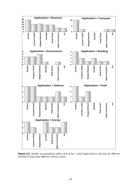

**Figure 4.2.** *Number of respondents within each of the 7 valid Single-Sectors selecting the different Variable Groups (note different vertical scales).*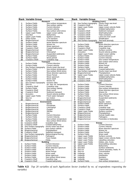|             | Rank Variable Group                       | Variable                                         | <b>Rank</b>      | <b>Variable Group</b>                           | Variable                                           |
|-------------|-------------------------------------------|--------------------------------------------------|------------------|-------------------------------------------------|----------------------------------------------------|
|             |                                           | Research                                         |                  |                                                 | <b>Building (cont.)</b>                            |
| 1           | <b>Surface Fields</b>                     | Sea surface temperature                          | 11               | Sea Surface topography Hourly mean sea level    |                                                    |
| $\mathbf 2$ | Surface Fields                            | Sea surface salinity                             | 12               | Coastal & Shelf                                 | River runoff                                       |
| 3<br>4      | Surface Fields<br><b>Surface Fields</b>   | Current direction<br>Current velocity            | 13<br>14         | Upper Layer Fields<br>Sea Bed                   | Upper ocean velocity fields<br>Gridded bathymetry  |
| 5           | Surface Fields                            | Sea surface wind stress                          | 15               | Coastal & Shelf                                 | Sediment transport                                 |
| 6           | Upper Layer Fields                        | Upper ocean salinity                             | 16               | Coastal & Shelf                                 | Shelf bathymetry                                   |
| 7           | Sea Bed                                   | <b>Bathymetry</b>                                | 17               | Coastal & Shelf                                 | Tidal constants                                    |
| 8           | <b>Upper Layer Fields</b>                 | Surface currents                                 | 18               | Coastal & Shelf                                 | Land non-river runoff                              |
| 9           | Deep Ocean                                | CTD sections                                     | 19               | Coastal & Shelf                                 | Stratification                                     |
| 10          | Biogeochemical                            | Phytoplankton                                    | 20               | Sea Surface topography                          | Sea level anomaly                                  |
| 11<br>12    | <b>Surface Fields</b><br>Surface Fields   | Wave direction spectrum<br>Waves Hs              | 1                | Surface Fields                                  | <b>Defence</b><br>Wave direction spectrum          |
| 13          | Surface Fields                            | Wave spectrum                                    | $\mathbf 2$      | Surface Fields                                  | Wave spectrum                                      |
| 14          | Coastal & Shelf                           | Coastal bathymetry                               | 3                | Coastal & Shelf                                 | Coastline map                                      |
| 15          | Biogeochemical                            | Nitrate                                          | 4                | <b>Upper Layer Fields</b>                       | Surface currents                                   |
| 16          | Biogeochemical                            | Chlorophyll                                      | 5                | Acoustics                                       | Sound velocity profiles                            |
| 17          | Biogeochemical                            | Suspended sediments                              | 6                | <b>Upper Layer Fields</b>                       | Upper ocean salinity                               |
| 18          | <b>Surface Fields</b>                     | Precipitation                                    | $\overline{7}$   | Surface Fields                                  | <b>Current Direction</b>                           |
| 19          | Surface Fields                            | Wave period                                      | 8<br>9           | Surface Fields                                  | <b>Current Velocity</b>                            |
| 20          | Coastal & Shelf                           | Coastline map<br><b>Transport</b>                | 10               | Surface Fields<br><b>Surface Fields</b>         | Sea surface temperature<br>Sea surface wind stress |
| 1           | Surface Fields                            | Current direction                                | 11               | Surface Fields                                  | Waves Hs                                           |
| $\mathbf 2$ | <b>Surface Fields</b>                     | Current velocity                                 | 12               | Surface Fields                                  | <b>Wave Period</b>                                 |
| 3           | Sea Surface topography                    | Hourly mean sea level                            | 13               | Surface Fields                                  | Wave swell                                         |
| 4           | Surface Fields                            | Sea surface temperature                          | 14               | Coastal & Shelf                                 | Coastal bathymetry                                 |
| 5           | Surface Fields                            | Sea surface Wind stress                          | 15               | Sea Surface topography                          | Hourly mean sea level                              |
| 6           | Surface Fields                            | Wave direction spectrum                          | 16               | Biogeochemical                                  | Phytoplankton                                      |
| 7           | Surface Fields                            | <b>Wave Period</b>                               | 17               | Upper Layer Fields                              | Upper ocean velocity fields                        |
| 8           | Surface Fields                            | Wave spectrum<br>Wave swell                      | 18<br>19         | Sea Bed<br>Coastal & Shelf                      | Gridded bathymetry<br>Shelf bathymetry             |
| 9<br>10     | Surface Fields<br>Surface Fields          | Waves Hs                                         | 20               | Coastal & Shelf                                 | <b>Tidal constants</b>                             |
| 11          | Sea Surface topography                    | Oceanic tides                                    |                  |                                                 | Food                                               |
| 12          | Sea Ice                                   | Air, sea, ice, temperatures                      | 1                | Surface Fields                                  | <b>Current Direction</b>                           |
| 13          | Coastal & Shelf                           | Coastline map                                    | $\mathbf 2$      | Surface Fields                                  | <b>Current Velocity</b>                            |
| 14          | Surface Fields                            | Sea surface salinity                             | 3                | Surface Fields                                  | Sea surface temperature                            |
| 15          | Coastal & Shelf                           | River runoff                                     | 4                | Surface Fields                                  | Wave direction spectrum                            |
| 16          | Coastal & Shelf                           | Sediment transport                               | 5                | Surface Fields                                  | Waves Hs                                           |
| 17<br>18    | Acoustics<br><b>Upper Layer Fields</b>    | Sound velocity profiles<br>Fresh water transport | 6<br>7           | Surface Fields<br>Surface Fields                | Sea surface Wind stress<br><b>Wave Period</b>      |
| 19          | Sea Ice                                   | Ice motion                                       | 8                | Biogeochemical                                  | Suspended sediments                                |
| 20          | Optics                                    | Bioluminescence                                  | 9                | Biogeochemical                                  | Oxygen                                             |
|             |                                           | <b>Environment</b>                               | 10               | Biogeochemical                                  | Aquatic toxins                                     |
| 1           | Biogeochemical                            | Nitrate                                          | 11               | Surface Fields                                  | Wave spectrum                                      |
| 2           | Biogeochemical                            | Phosphate                                        | 12               | Surface Fields                                  | Wave swell                                         |
| 3<br>4      | Biogeochemical                            | Chlorophyll                                      | 13<br>14         | Coastal & Shelf<br>Coastal & Shelf              | Coastline map                                      |
| 5           | Biogeochemical<br>Biogeochemical          | Oxygen<br>Silicate                               | 15               | <b>Upper Layer Fields</b>                       | Coastal bathymetry<br>Surface currents             |
| 6           | Biogeochemical                            | Iron                                             | 16               | Biogeochemical                                  | Phytoplankton                                      |
| 7           | <b>Surface Fields</b>                     | <b>Current Direction</b>                         | 17               | Biogeochemical                                  | Human health risks                                 |
| 8           | Surface Fields                            | <b>Current Velocity</b>                          | 18               | Biogeochemical                                  | Pathogens                                          |
| 9           | Surface Fields                            | Sea surface temperature                          | 19               | Biogeochemical                                  | Pesticides & Herbicides                            |
| 10          | Surface Fields                            | Sea surface Wind stress                          | 20               |                                                 |                                                    |
| 11          | Coastal & Shelf                           | Coastline map                                    |                  |                                                 | Enerav<br><b>Current Direction</b>                 |
| 12<br>13    | Coastal & Shelf<br>Sea Surface topography | Coastal bathymetry<br>Hourly mean sea level      | 1<br>$\mathbf 2$ | Surface Fields<br>Surface Fields                | <b>Current Velocity</b>                            |
| 14          | <b>Surface Fields</b>                     | Sea surface salinity                             | 3                | <b>Surface Fields</b>                           | Wave direction spectrum                            |
| 15          | Biogeochemical                            | Phytoplankton                                    | 4                | Surface Fields                                  | Waves Hs                                           |
| 16          | Coastal & Shelf                           | Sediment transport                               | 5                | <b>Surface Fields</b>                           | <b>Wave Period</b>                                 |
| 17          | Sea Surface topography                    | Meteorological forcing                           | 6                | <b>Surface Fields</b>                           | Wave swell                                         |
| 18          | Biogeochemical                            | Pathogens                                        | $\overline{7}$   | <b>Upper Laver Fields</b>                       | Surface currents                                   |
| 19          | Biogeochemical                            | Trace metals                                     | 8                | <b>Upper Layer Fields</b>                       | Upper ocean velocity fields                        |
| 20          | Biogeochemical                            | <b>PAHs</b>                                      | 9                | <b>Upper Layer Fields</b><br>Upper Laver Fields | Upwelling velocities                               |
| 1           | <b>Surface Fields</b>                     | <b>Building</b><br><b>Current Direction</b>      | 10<br>11         | <b>Upper Laver Fields</b>                       | Eddies, jets, fronts<br>Downwelling velocities     |
| 2           | Surface Fields                            | <b>Current Velocity</b>                          | 12               | Sea Bed                                         | Bathymetry                                         |
| 3           | Surface Fields                            | Wave direction spectrum                          | 13               | Sea Bed                                         | Surface sediments                                  |
| 4           | <b>Surface Fields</b>                     | Waves Hs                                         | 14               | Sea Ice                                         | Extent, boundary, leads, %                         |
| 5           | <b>Surface Fields</b>                     | <b>Wave Period</b>                               | 15               | Sea Ice                                         | Concentration                                      |
| 6           | Surface Fields                            | Wave swell                                       | 16               | Icebergs                                        | Area, volume                                       |
| 7           | Surface Fields                            | Wave spectrum                                    | 17               | Icebergs                                        | Distribution                                       |
| 8<br>9      | Surface Fields<br>Coastal & Shelf         | Sea surface Wind stress<br>Coastline map         | 18<br>19         | Icebergs<br>Icebergs                            | <b>Numbers</b><br>Trajectories                     |
| 10          | Coastal & Shelf                           | Coastal bathymetry                               | 20               | Surface Fields                                  | Sea surface temperature                            |

**Table 4.3**. *Top 20 variables of each Application Sector (ranked by no. of respondents requesting the variable)*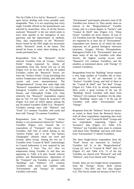The list (Table 4.3) is led by "Research", a very open Sector dealing with every possible topic imaginable. Thus, it is not surprising that every single Variable offered in the questionnaire was selected by researchers. Also, of all the Sectors analysed, "Research" is the one which tends to react most quickly to the emergence of new questions and the improvement of methods. Thus, data requirements of the "Research" Sector found by the ERS might not necessarily reflect "Research" needs in the future. This should be borne in mind when looking at the results presented here.

Respondents from the "Research" Sector selected Variables from all Groups, "Surface Fields" being requested by almost all respondents from this Sector (24 out of 26) (Figure 4.2). In fact, half of the top 20 ranked Variables within the "Research" Sector, are from the "Surface Fields" Group (including Sea surface Temperature and Salinity, plus different current and wave measurements). The "Biogeochemical" Group also ranks high with "Research" respondents (Figure 4.2), especially biological Variables such as Phytoplankton, Nitrate, and Chlorophyll (Table 4.3). Only relatively few "Research" respondents request data on "Ice" (7) and "Optics & Acoustics" (9) (Figure 4.2) none of which appear among the top 20 ranked Variables (Table 4.3). "Research" Variables overlap most with "Defence" and "Food" (13 common Variables with each) and least with "Energy" (9 common Variables).

Respondents from the "Transport" Sector display a very pronounced interest for "Surface" Variables (Figure 4.2). Overall, the 11 respondents of "Transport" only choose 21 Variables, half (10) of which belong to the "Surface Fields" and 2 to the "Sea Surface Topography" (Hourly mean sea level and Oceanic tides) Group. Among the rest are 3 Variables from "Coastal & Shelf" (interestingly no Coastal bathymetry is ever required by any respondent), 3 from "Sea Ice" (Sea ice temperature being Variable 21 and thus not appearing in Table 4.3) plus Sound velocity profiles, and Bioluminescence. Agreement of the "Transport" top Variables is greatest with "Building" and "Defence" (12 common Variables with each) and smallest with "Environment" and "Energy" (8 common Variables with each).

"Environment" participants selected a total of 58 Variables (see Annexe 5). They mostly share an interest in the "Biogeochemical" Variable Group, and, to a lesser degree, in "Surface" and "Coastal & Shelf" data (Figure 4.2). "Deep Ocean" Variables are never chosen. 19 (out of 22) Variables from the "Biogeochemical" Group are requested by at least one of "Environment" respondents (see Annexe 5), of which the most important are of general biological relevance (nutrients, Oxygen, Silicate, Phytoplankton, Pathogens) (Table 4.3). "Environment" does not share many of the top Variables with other Sectors, the highest overlap occurs with "Research" (10 common Variables), and the smallest, as mentioned above, with "Energy" (3 common Variables).

Respondents from the "Building" Sector request a very large number of Variables (82 in total, see Annexe 5). All are interested in the "Surface" Variable Group, and half of them in the "Coastal & Shelf" and "Sea Bed" Groups (Figure 4.2, Table 4.3). As already mentioned, there exists a great overlap of the top 20 "Building" Sector Variables with those from "Defence" (16 common Variables). On the other hand, "Building" shares only 7 of the top 20 Variables with either "Environment" and "Energy".

Responses from the "Defence" Sector are almost as varied as those from the Research Sector, with all three respondents requesting data from the "Surface" and "Coastal & Shelf" Groups and two respondents requesting "Optics & Acoustics" data (Figure 4.2, Table 4.3). "Defence" top Variables have most in common with those from "Building" and least with those from "Environment" (7 shared Variables).

The three Single-Sector respondents from the "Food" Sector are interested in "Surface" Variables (all 3), in the "Biogeochemical" Group  $(2)$ , and in "Coastal & Shelf" data  $(1)$ (Figure 4.2 and Table 4.3). 13 of the top Variables are shared with "Research" and with "Defence", only 8 are shared with "Energy".

Finally, there are two Single-Sector respondents from the "Energy" Sector. Both choose "Surface", "Sea Bed" and "Ice" data (Figure 4.2). This Sector stands out because of the 6 ice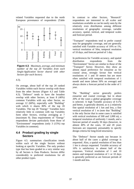related Variables requested due to the north European provenance of respondents (Table



**Figure 4.3**. *Maximum, average, and minimum number of the top 20 Variables from each Single-Application Sector shared with other Sectors (for each Sector).*

4.3).

On average, about half of the top 20 ranked Variables within each Sector overlap with those from the other Sectors (Figure 4.3 and Table 4.3). "Defence" tends to have the broadest overlap with other Sectors, at least 8 (40%) common Variables with any other Sector, on average 12 (60%), especially with "Building" with which it shares 80% of the top 20 Variables. The top 20 "Energy" Variables have relatively little in common with top Variables form other Sectors, overlap averaging at 7 (maximum 9). Data requirements of "Energy" respondents deviate particularly from those of "Environment" respondents (only 3 (15%) top Variables in common).

## **4.4 Product grading by single Sectors**

Figure 4.5. summarises classification trends within each of the single Sectors without looking at specific Variables. The only product type that has been graded in a very similar way by all Sectors is Data Products. Sectors differ considerably in preferred resolutions for all other product types.

In contrast to other Sectors, "Research" respondents are interested in all scales and resolutions available as can be easily seen by the relatively even distribution among different resolutions of geographic coverage, variable accuracy, spatial, vertical, and temporal scales and forecast period.

"Transport" respondents tend to prefer coastal seas for geographic coverage, and are generally satisfied with Variable accuracy of 10% or 1%, vertical resolution of 50m, temporal resolution of 10 days, and forecast period of 1 day.

In preferences for Variable accuracy, and spatial distribution respondents from the "Environment" Sector are similar to those of the "Transport" Sector. However, they show an almost equal preference for estuarine as for coastal areas, strongly favour fine vertical resolutions of 1 and 10 meters but are more often satisfied with temporal resolutions of 1 month and more (about 50% on average) and always desire a forecast period in the order of 1 year.

The "Building" sector generally prefers estuarine and coastal coverage, but in about 20% of the cases a global geographic coverage is selected. A high Variable accuracy of 0.1% and better, is generally desired, as is a relatively fine spatial resolution of 1 km and less, a fine vertical resolution of 1 m (note that "Building" is the only Sector that in some cases is satisfied with vertical resolutions of 500 and 1,000 m), a temporal resolution of uniformly 1 month, and a forecast period of usually 30 days (however, in almost 40% of the cases, 10 and 20 years forecasts are requested, presumably to specify design criteria for long-lived structures).

The "Defence" Sector stands out because in about half of the cases a global coverage is requested. Also, a spatial resolution of less than 1 km is always requested. Variable accuracy of 10% is satisfactory in almost half of the responses. Vertical resolution of 1 and 10 meters and temporal resolution of 1 or 10 days is generally preferred as are forecast periods of 1 month and less.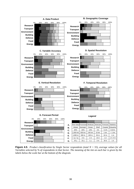

**Figure 4.5**. *Product classification by Single Sector respondents (total N = 55), average values for all Variables selected by % of respondents in that Sector. The meaning of the tint on each bar is given by the labels below the scale bar at the bottom of the diagram.*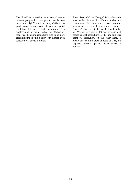The "Food" Sector tends to select coastal seas as relevant geographic coverage, and usually does not require high Variable accuracy (10% seems good enough in most case). In general, spatial resolution of 10 km, vertical resolution of 10 m and less, and forecast periods of 1or 30 days are requested. Temporal resolutions tend to be more discriminating in this Sector with almost even selection of 1 day to 3 months.

After "Research", the "Energy" Sector shows the most varied interest in different scales and resolutions; it, however, never requires hemispheric or global geographic coverage. "Energy" also tends to be satisfied with rather low Variable accuracy of 1% and less, and with coarse spatial resolutions of 10 km and less. Temporal resolution, on the other hand, is mostly chosen in the order of hours or 1 day and requested forecast periods never exceed 3 months.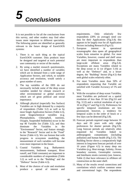

It is not possible to list all the conclusions from this survey, and other readers may find other issues more important to different specialties. The following points are identified as generally relevant to the future design of EuroGOOS systems:

- 1. There is no such thing as the typical EuroGOOS customer. Data products must be designed and targeted at each potential user community or sector of the market.
- 2. By using a market research questionnaire, we have identified a number of variables which are in demand from a wide range of Application Sectors, and which, to suitable accuracy and resolution, would satisfy a great number of users.
- 3. The top variables of the ERS do not necessarily include some of the deep ocean variables needed for climate research or other environmental or global activities which are of great political and social importance.
- 4. Although physical (especially Sea Surface) Variables are in high demand by a majority of respondents (Table 3.2) as well as by most Single Application Sectors (Table 4.3), some biogeochemical variables (e.g. Phytoplankton, Chlorophyll, nutrients, Oxygen, Suspended Sediments) occur in the top 40 Variable list (Table 3.2), and they dominate the Variables in the "Environment" Sector, and feature strongly in the "Research" Sector and in the "Food" Sector (Table 4.3). We can foresee that with progress in ecosystem modelling, the measurement of such variables will become even more important in the future.
- 5. Coastal Variables (e.g. Bathymetric measurements, Sediment transport, River runoff, and Tidal constants) are important to considerable numbers of respondents (Table 3.2) as well as to the "Building" and the "Defence" Sector (Table 4.3).
- 6. Most of the choices of scale and resolution produce a spread of interest and

requirements. Only relatively few respondents (20% on average) need raw data for their Applications (Fig.3.4); this appears to be largely true for all Application Sectors including Research (Fig.4.5).

- 7. European interest in operational oceanographic data spans all geographical scales from estuarine to global. For most Variables, however, coastal and shelf areas are more important to respondents than large-scale offshore areas (Fig.3.4). Exceptions are many Variables related to the deep ocean or to ice (Figure 3.10) as well as the "Defence" and, to a lesser degree, the "Building" Sector (Fig.4.5) that seek global scales relatively often.
- 8. For most Variables more than 50% of respondents requesting that Variable are satisfied with Variable Accuracy of 1% and less.
- 9. With the exception of deep ocean Variables, most Variables are preferred on a spatial resolution of less than 10 km (Fig.3.6 and Fig. 3.12) and a vertical resolution of up to 10 m (Fig.3.7 and Fig.3.13). Preferences for specific temporal resolutions are less pronounced; however, a tendency for temporal scales in the order of hours or a few days can be detected (Fig.3.8).
- 10. Forecast periods required range between 10 days and 20 years with only slight preferences for shorter periods (Fig.3.9). Long forecast periods are relatively often requested for Variables linked to anthropogenic contaminants (including pollution) and human health (Fig.3.15). The Building Sector shows a comparatively high interest in long-term forecast periods of over 10 years (Figure 4.5) in many deep sea Variables (e.g. Heat storage, Salinity, Ocean boundary currents, Geostrophic currents, and Interbasin straits currents) (see Annexe, Table 2) that have relevance to offshore oil construction on the outer shelf.
- 11. Many of the results reveal connections and correlations which confirm common sense and conventional logic. The respondents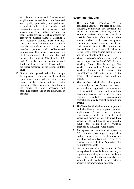who claim to be interested in Environmental Applications demand data on nutrients and water quality, productivity, and pollutants; respondents interested in building and construction want data on currents and waves, etc. The highest accuracy is requested for physical Variables whereas for difficult to measure chemical Variables a 10% accuracy satisfies most demands. These, and numerous other points confirm that the respondents to the survey have revealed genuine and well-informed requirements. The mono-variate discussion of the questionnaire itself, the bias, and balance of respondents (Chapters 1.3, 1.4, and 2), reveals some gaps at the national level, and fisheries and the tourist industry are under-presented at the European total level.

12. Granted the general reliability, though incompleteness, of the survey, the analysis shows many trends and correlations which could not have been anticipated with confidence. These factors will help both in the design of future observing and modelling system, and in the generation of products.

# **Recommendations**

- 1. The EuroGOOS Economics WG is conducting analysis of the scale of different industrial, commercial, and environmental sectors in European countries, and for Europe as a whole. In principle, it would be possible from this information to show which variables would have the greatest potential to create economic benefit or environmental benefit. This presupposes that we know the sensitivity of each sector to improved oceanographic data provision, and the rate of uptake of the data.
- 2. The data and results of this survey should be used as inputs to the EuroGOOS Products Working Group. The Technology Plan Working Group and the Science Advisory Working Group should consider the implications of data requirements for the design of observation and modelling systems.
- 3. The variables which show the greatest commonality across Europe, and across space scales and applications sectors should be designed into a common system, with the maximum savings and efficiency from common standards, instrumentation compatibility, quality control, and modelling criteria.
- 4. The Variables which show the strongest and exclusive links to local regions, particular applications Sectors, or particular environments, should be associated with specialised models designed to meet these special needs, and having as a possible input, the common-factor variables produced by the Europe-wide system.
- 5. An improved survey should be repeated in 3-5 years time. We suggest to prioritise finding links between Applications and Variables and identifying different needs by respondents with identical Applications but from different countries.
- 6. We recommend that the results of this survey should be available electronically to organisations wishing to work on the data in more detail, and that the national data sets should be made available in more detail to approved customers where possible.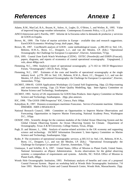- Adams, R.M., MacCarl, B.A., Bryant, K., Solow, A., Legler, D., O'Brien, J., and Weiher, R., 1995. Value of improved long-range weather information. Contemporary Economic Policy, v.13, p.10-19.
- AINCO-Interocean and G Parrilla, 1997. Informe de la Encuesta sobre la demanda de productos y servicios de GOOS en España.
- Brown, M., 1999. The Value of marine activities in Europe available data and research suggestions. EuroGOOS Economics Working Group, draft paper, 30pp.
- Brown, M., 1997. Cost/Benefit analysis of GOOS some methodological issues. p.286-293 in: Stel, J.H., Behrens, H.W.A., Borst, J.C., Droppert, L.J., and van der Meulen, J.P. (Eds.) "Operational Oceanography: the Challenge for European Co-operation", Elsevier, Amsterdam, 757pp.
- ESA, 1995. Coastal Zone Earth Watch Workshops (CZEW). ESTEC (Noordwijk) and ESRIN (Frascati), papers, diagrams, and reports of economics of coastal operational oceanography. Unpaginated, 2 vols, about 400pp each.
- Flemming, N.C., 1994. Analytical report of operational oceanography. p.71-163 in: OECD Megascience Forum, "Oceanography", OECD, Paris, 167pp.
- Flemming, N.C., 1997. Estimates of the costs and benefits of operational oceanography at the single industry level. p.278- 285 in: Stel, J.H., Behrens, H.W.A., Borst, J.C., Droppert, L.J., and van der Meulen, J.P. (Eds.) "Operational Oceanography: the Challenge for European Co-operation", Elsevier, Amsterdam, 757pp.
- IACMST, 1994-95. GOOS Applications Workshops: (1) Coastal Soft Engineering, 10pp. (2) Ship-routeing and trans-oceanic towing, 11pp. (3) Water Quality Modelling, 6pp. Inter-Agency Committee on Marine Science and Technology, Southampton.
- IACMST, 1993. Survey of UK requirements for GOOS Data Products. Inter-Agency Committee on Marine Science and Technology, Southampton.. 20pp. plus annexes.
- IOC, 1998. "The GOOS 1998 Prospectus" IOC, Unesco, Paris 168pp.
- Kalaydjian, R., 1997. Donnees economiques maritimes Francaises. Service d'economie maritime. Editions IFREMER. ISBN 2-905434-83-X
- National Research Council, 1989. Committee on Opportunities to Improve Marine Observations and Forecasting: Opportunities to Improve Marine Forecasting, National Academy Press, Washington D.C., 105pp.
- OOSDP, 1995. Scientific design for the common modules of the Global Ocean Observing System and the Global Climate Observing System: An Ocean Observing System for Climate. Department of Oceanography, Texas A & M University, College Station, Texas, 265pp.
- Pugh, D. and Skinner, L., 1996. Analysis of marine-related activities in the UK economy and supporting science and technology. IACMST Information Document 5, Inter-Agency Committee on Marine Science and Technology, Southampton. 52pp.
- Ryder, P. The economics of operational oceanographic services. p.305-313 in: Stel, J.H., Behrens, H.W.A., Borst, J.C., Droppert, L.J., and van der Meulen, J.P. (Eds.) "Operational Oceanography: the Challenge for European Co-operation", Elsevier, Amsterdam, 757pp.
- Unninayar, S and Schiffer, R A, 1997. United States, Office of Mission to Planet Earth; United States, National Aeronautics an dSpace Administration. In-situ observations for the global observing systems: a compendium of requirements and systems. Ashville, NC: NASA Office of Mission to Planet Earth, 286pp.
- Woods Hole Oceanographic Institution, 1993. Preliminary analysis of benefits and costs of a proposed Coastal Forecast System. Report on workshop held at Woods Hole Oceanographic Institution, 7-8 June 1993. Marine Policy Center and Coastal Research Centre, Woods Hole, Massachusetts. 35pp.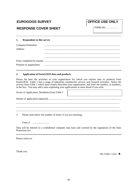# **EUROGOOS SURVEY CONVEY COFFICE USE ONLY**

# **RESPONSE COVER SHEET** FORM NO....................

#### **1. Respondent to this survey**

| Company/Institution |                                                                                                                                                                                                                                      |
|---------------------|--------------------------------------------------------------------------------------------------------------------------------------------------------------------------------------------------------------------------------------|
| Address             |                                                                                                                                                                                                                                      |
|                     |                                                                                                                                                                                                                                      |
|                     |                                                                                                                                                                                                                                      |
|                     |                                                                                                                                                                                                                                      |
|                     | Position in organisation <b>continuum continuum contract of the contract of the contract of the contract of the contract of the contract of the contract of the contract of the contract of the contract of the contract of the </b> |

#### **2. Application of EuroGOOS data and products**

Please list here the activities of your organisation for which you require data or products from EuroGOOS. Table 1 lists a range of industrial, commercial, service, and research activities. Select the activity from Table 1 which most closely describes your organisation, and enter the number, or numbers, in the box. You may add a note explaining your applications in more detail if you wish.

 $\mathbf{r}$ 

| Sector of Application: Number(s) from Table 1 |  |
|-----------------------------------------------|--|
|                                               |  |
|                                               |  |

3. Please state below the number of forms A you are returning.

Form A ...........................

Data will be entered in a confidential computer data base and covered by the regulations of the Data Protection Act.

Please return to:

Thank you.

See Table 1 over  $\rightarrow$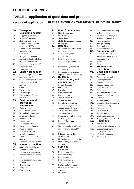# **EUROGOOS SURVEY**

# **TABLE 1 application of goos data and products**

# **sectors of application:** PLEASE ENTER ON THE RESPONSE COVER SHEET

#### **00. Transport (excluding military)**

- 01. Shipping operations
- 02. Hovercraft operations
- 03. Hydrofoil operations 04. Submersible/submarine
- operations/ROVs
- 05. Tunnel subsea operations
- 06. Barrage roads
- 07. Causeway
- 08. Bridges, sea channels
- 09. Navigational safety, lights etc. Electronic charts
- 10. Safety services, rescue, life preserving, fire
- 11. Port operations

#### **12. Energy production**

- 13. Oil and gas production (Oil companies only)
- 14. Oil and gas exploration and prospecting, and drilling services
- 15. OTEC
- 16. Wave energy
- 17. Tidal energy
- 18. Wind energy, offshore installation

#### **19. Environmental protection/ preservation**

- 20. Clean beaches
- 21. Oil pollution control
- 22. Non-oil pollution control
- 23. Estuarine pollution
- 24. Health hazards
- 25. Marine reserves
- 26. Species protection
- 27. Environmental forecasts
- 28. Flood protection
- 29. Safe waste disposal
- 30. Amenity evaluation
- 31. Environmental quality control

#### 32. Environmental data services

- **33. Mineral extraction**
- 34. Aggregate, sand, gravel 35. Deep ocean, Mn,
- hydrothermal muds, crusts
- 36. Placer minerals, diamonds, tin, etc.
- 37. Salts extraction, magnesia, bromine
- 38. Desalination
- 39. Phosphate
- 40. Coal, subsea

#### **41. Food from the sea**

- 42. Fisheries, catching
- 43. Fish farming
- 44. Shellfisheries
- 45. Shellfish, crustacea, farming
- 46. Fishing gear

#### **47. Defence**

- 48. Military vessels, surface and submarine
- 49. ASW, oceanographic applications
- 50. Underwater weapons
- 51. Navigation, position fixing, etc.
- 52. Defence sales, equipment, components
- 53. Operations and efficiency, logistics, controls, computing

#### **54. Building, construction, and engineering**

- 55. Coastal defences
- 56. Port construction
- 57. Dredging
- 58. Land reclamation
- 59. Barrage construction
- 60. Tunnel construction
- 61. Outfalls/intakes
- 62. Consulting engineering
- 63. Components, hydraulics, motors, pumps, batteries, etc.
- 64. Cables, manufacture and operations, laying
- 65. Corrosion prevention, paint, antifouling, etc.
- 66. Heavy lifting, cranes, winches
- 67. Marine propulsion, efficient ship, automatic ships, DP, props
- 68. Offshore construction, platforms, etc.
- 69. Pipelaying, trenching, burial
- 70. Ship-building, non-defence, all kinds

#### **71. Services**

- 72. Certification
- 73. Climate forecasting
- 74. Data consultancy
- 75. Data services

76. Data transmission, telecommunications

- 77. Diving, including suppliers
- 78. Inspection, maintenance, repair

44

79. Insurance

81. Project management, nondefence, consultancy 82. Remote sensing 83. Salvage, towing 84. Ship routing 85. Weather forecasting **86. Equipment sales** 87. Marine electronics, instruments, radar, optoelectronics, etc. 88. Sonar

80. Metocean survey, mapping, hydrographic surveys

- 89. Buoys
- **90. Tourism and recreation**
- **91. Basic and strategic research**
- 92. Acoustics, electronics
- 93. Civil engineering
- 94. Climate change
- 95. Climate forecasting
- 96. Coastal modelling
- 97. Data centre
- 98. Environmental sciences
- 99. Estuarine modelling
- 100. Fisheries
- 101. Marine biology
- 102. Marine weather forecasting

111. Land use planning or zoning

- 103. Ocean modelling
- 104. Oceanography 105. Polar research

106. Remote sensing 107. Shelf seas modelling 108. Shipping/naval architecture

**109. Hinterland** 110. Agriculture

115. Public health

112. Urban management 113. Local government 114. Wetlands management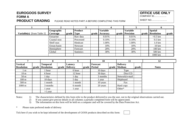# **EUROGOOS SURVEY OFFICE USE ONLYFORM A**

**PRODUCT GRADING** PLEASE READ NOTES PART A BEFORE COMPLETING THIS FORM

 COMPANY ID.................... **SHEET NO.......................** 

| <b>Variable(s)</b> [from Table 2] | Geographic<br><b>Coverage</b> | $grade$ Type | <b>Product</b>    |  | <b>Variable</b><br>grade   Accuracy |  | <b>Variable</b><br>grade Precision | <b>Spatial</b><br>grade   Resolution | grade |
|-----------------------------------|-------------------------------|--------------|-------------------|--|-------------------------------------|--|------------------------------------|--------------------------------------|-------|
|                                   |                               |              |                   |  |                                     |  |                                    |                                      |       |
|                                   | Estuarine                     |              | Raw data          |  | 0.01%                               |  | 0.01%                              | $<$ 0.5 km                           |       |
|                                   | Coastal seas                  |              | Processed         |  | 0.10%                               |  | 0.10%                              | $0.5 \text{ km}$                     |       |
|                                   | Shelf seas                    |              | Hindcast          |  | 1.00%                               |  | 1.00%                              | $1.0 \mathrm{km}$                    |       |
|                                   | Ocean basin                   |              | <b>Nowcast</b>    |  | 10%                                 |  | 10%                                | $10 \mathrm{km}$                     |       |
|                                   | Hemisphere                    |              | Forecast          |  | 20%                                 |  | 20%                                | $100 \mathrm{km}$                    |       |
|                                   | Global                        |              | <b>Statistics</b> |  | 30%                                 |  | 30%                                | 500 km                               |       |
|                                   |                               |              |                   |  |                                     |  |                                    | 1000 km                              |       |

|                                      |       |                               |                           |  | 10                              |                                 |       | 12           |
|--------------------------------------|-------|-------------------------------|---------------------------|--|---------------------------------|---------------------------------|-------|--------------|
| <b>Vertical</b><br><b>Resolution</b> | grade | Temporal<br><b>Resolution</b> | Latency<br>grade Delivery |  | <b>Forecast</b><br>grade Period | <b>Delivery</b><br>grade Medium | grade | <b>Notes</b> |
| l m                                  |       | l hour                        | 6 hour                    |  | 10 days                         | Tape                            |       |              |
| 10 <sub>m</sub>                      |       | 6 hour                        | 12 hour                   |  | 30 days                         | Disc/CD                         |       |              |
| 50 <sub>m</sub>                      |       | l day                         | day                       |  | 3 months                        | Network/e-mail                  |       |              |
| $100 \text{ m}$                      |       | 10 days                       | 5 day                     |  | year                            | Shipboard                       |       |              |
| $500 \text{ m}$                      |       | month                         | month                     |  | 10 years                        | Fax                             |       |              |
| $1000 \text{ m}$                     |       | 3 months                      | 6 month                   |  | 20 years                        | Hard copy                       |       |              |
|                                      |       | year                          | year                      |  |                                 | Other*                          |       |              |
|                                      |       | $>1$ year                     |                           |  |                                 |                                 |       |              |

Notes: 1) The characteristics defined by this form refer to the product delivered to you the user, not to the original observations carried out.<br>2) If you cannot give precise details in all columns a partially completed fo

2) If you cannot give precise details in all columns a partially completed form will be appreciated.<br>3) The information on this form will be held on a computer and will be covered by the Data Protec

The information on this form will be held on a computer and will be covered by the Data Protection Act.

\*Please state preferred mode of delivery

Tick here if you wish to be kept informed of the development of GOOS products described on this form: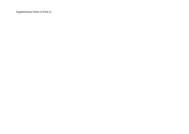Supplementary Notes to Form A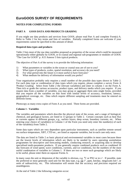# **EuroGOOS SURVEY OF REQUIREMENTS**

#### **NOTES FOR COMPLETING FORMS**

#### **PART A GOOS DATA AND PRODUCTS GRADING**

If you might use data products and services from GOOS, please read Part A and complete Form(s) A. Refer to Table 2 for key terms and lists of variables. Partially completed forms are welcome if your requirements cannot be specified in this amount of detail.

#### **Required data types and products**

Table 2 lists most of the raw data variables proposed as properties of the ocean which could be measured operationally either globally by GOOS, or in coastal and regional sub-programmes or modules of GOOS. "The Case for GOOS" p. A15 Annexe 5 lists typical products.

The objective of Part A of the survey is to provide the following information:

- 1) What parameters or variables in the ocean or coastal seas are of use to you?<br>2) What types of products, scales, spatial resolution, and accuracy do you need
- What types of products, scales, spatial resolution, and accuracy do you need?
- 3) For what period into the future is it most useful to have forecasts?
- 4) What medium for delivery of information would you prefer?

Your organisation probably only requires a small number of the possible data types shown in Table 2. For each data type or combination of data types which you require, please complete a survey Form A 'Product Grading'. Select from Table 2 the relevant variable(s) and enter in column 1 on the Form A. Then tick or grade the various accuracies, product types, and delivery media which you require. If you require data from a number of variables, you may group or aggregate them onto single forms, provided that you require all the variables on that form with similar levels of accuracy, resolution, latency, geographical coverage, etc. Data which require different sampling and treatments must be entered on different forms.

Photocopy as many extra copies of Form A as you need. Three forms are provided.

#### **Column 1 - Variables**

The variables and parameters which describe the physical state of the ocean, and a range of biological, chemical, and geological factors, are listed in 13 groups in Table 2. Certain concepts such as heat flux or currents appear in different groups, e.g., surface layers, deep ocean, boundary currents, etc. When entering your choice of variable(s) in Column 1 of the Form you need only enter the number(s) of each of the variable(s) from Table 2.

Some data types which are very dependent upon particular instruments, such as satellite remote sensed sea surface temperature, XBT, CTD etc., are listed as separate variables, but in each case only once.

The data are listed in Table 2 as basic physical and environmental variables in most cases because these are the lowest levels of information which are likely to be needed by users operating assimilation programmes for descriptive and forecasting models, conducting research, or acquiring data to develop specialised multi-parameter products. If you generally require combined products such as combined 10 day forecasts of wind speed, wave conditions, currents, and ice conditions, list the numbers of the most useful combination of variables in Column 1. If there are two or more such groupings which are likely to be useful, please enter them on separate Forms A.

In many cases the unit or dimension of the variable is obvious, e.g. °C or PSU or m s<sup>-1</sup>. If possible, state the preferred or most generally used unit for the data type, e.g.  $\mu$ g l<sup>-1</sup>, ppm, km/day, megawatts km<sup>-2</sup>, or units of radioactivity, etc. This information will ensure that the accuracy and precision required are unambiguous.

At the end of Table 2 the following categories occur: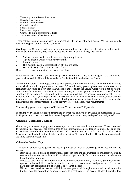- Year-long or multi-year time series
- Decadal time series
- Multi-decade time series
- Climatic statistics
- Spatial statistics
- Past model outputs
- Composite multi-parameter products
- Spectra or other reduced statistics

These category numbers can be used in combination with the Variable or groups of Variables to qualify further the type of products which you need.

**Grading:** For Column 2 and subsequent columns you have the option to either tick the values which you consider to be useful, or to grade the options on a scale of 1-5. The grade scale is:

- 5. An ideal product which would meet the highest requirements.
- 4. A good product which would be very useful.
- 3. A useful product.<br>2. This might be use
- This might be useful, but it falls short of what we need.
- 1. Marginal. Might have some occasional use.
- Blank. This is of no interest to my organisation.

If you do not wish to grade your choices, please make only one entry as a tick against the value which you consider useful. This will be valued as a Grade 3 mark in analysis of the Forms.

Allocation of Grades: The objective is to rank products in order, from those which are most useful to those which it would be pointless to develop. When allocating grades, please start at the coarse/low resolution/low value end for each characteristic and consider the values which would not be useful. Work upwards to values or products of greater use to you. When you reach a value or type of product which would be useful, give it a grade or tick. Allocate grade 5 to the accuracy/resolution/ delivery etc. which would satisfy your requirements. Please do not mark higher levels of accuracy/resolution/etc. than are needed. This would tend to delay development of an operational system. It is assumed that higher levels of accuracy/resolution/faster delivery etc. would satisfy your requirements

You can skip grades, marking one as '1', the next '3', and the next '5' if you wish.

In making your choice, do not be constrained by what you know to be available or measurable in 1993. In 10 years time it may be possible to create the product at the accuracy and speed you really need.

#### **Column 2 - Geographic Coverage**

Grade the typical areas of geographical coverage which you are most likely to require. There is no need to indicate actual oceans or sea areas, although this information can be added in Column 12 as an option. Coastal seas are defined as including wetlands and coastal waters out to a distance of 10-20km. Shelf Seas are defined as full continental shelf width, or out to 200 nautical miles. Ocean basin means North Atlantic, Southern Ocean, etc.

#### **Column 3 - Product Type**

This column allows you to grade the type of products or level of processing which you are most to require.

- Raw data defines a stream of observational data with time and geographical co-ordinates plus quality control information. Such data could be delivered operationally for assimilation into models, or for hazard or alert warnings.
- Processed data implies that a form of statistical treatment, contouring, averaging, gridding, has been applied, or that variables have been combined or corrected to obtain derived parameters. These data have not been assimilated into operational or research models.
- Hindcast data describes data sets which have been processed through a numerical model to provide the best possible description or approximation to a past state of the ocean. Hindcast model output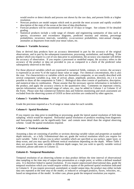would resolve or detect details and process not shown by the raw data, and present fields at a higher resolution.

- Nowcast products are model outputs which seek to provide the most accurate and rapidly available description of the state of the ocean at the time of data distribution.
- Forecast products will be concentrated on periods of 10 days or longer. See column 10 for detailed grading.
- Statistical products include a wide range of climatic and engineering summaries of data such as spectra, occurrence and exceedance diagrams, predicted maxima and minima, percentage probabilities, recurrence intervals, variability, co-occurrence probabilities, inter-annual changes, anomalies as departures from multi-year mean values, etc.

#### **Column 4 - Variable Accuracy**

Data or derived data products have an accuracy determined in part by the accuracy of the original observations, and in part by the subsequent transmission, processing, assimilation, and modelling. If the product which you require is a set of raw data prior to assimilation, the accuracy you stipulate will define the accuracy of observation. If you require a processed or modelled output, the accuracy refers to the accuracy of the product or data set provided to you as compared to a check of the predicted value subsequently observed in the field.

For those physical variables which are expressed in numerical fields, contours, or vectors, the accuracy is expressed as an error % of the typical mean value or range. For chemical concentrations, this is also the case. For characteristics or variables which are themselves composite, or are usually described with several component variables (e.g. time of arrival, phase, amplitude, position, direction, etc.) it is not possible to show all the components in Table 2. Biological data often consist of qualitative, descriptive, and numerical data in combination. Please assume that the necessary species information is included in the product, and apply the accuracy criteria to the quantitative data. Comments on important criteria, species information, units, expected range of values, etc., may be added in Column 1 or Column 12 of the Form. Please note that commercial fisheries data and fisheries monitoring and stock assessment are excluded from the observing system of GOOS as these activities are conducted by other agencies.

#### **Column 5 - Variable Precision**

Grade the precision required as a % of range or mean value for each variable.

#### **Column 6 - Spatial Resolution**

If you require raw data prior to modelling or processing, grade the lateral spatial resolution of field data sampling which would be required. Horizontal spatial resolution of products resulting from diagnostic and forecasting models can be significantly finer and contain more detail than the original observing scheme. Grade the spatial resolutions required.

#### **Column 7 - Vertical resolution**

Assuming a data set consisting of profiles or sections showing variable values and properties at standard depth intervals, or a fully 3-dimensional data set, grade the vertical resolution which you require for each variable. Table 2 allows you to select variables which are specified as sea surface, upper layer, or deep ocean, and you may specify different vertical resolutions depending on the depth. Where Table 2 does not present the same variable in different depth ranges, but you wish to specify variable vertical resolution, please add notes in Column 12.

#### **Column 8 - Temporal Resolution**

Temporal resolution of an observing scheme or data product defines the time interval of observational data sampling or the time step of output data presentation at a single point, or within a defined standard area. It is therefore linked to spatial resolution. If you require unprocessed observational data, grade the temporal resolution which you would require within a square of the preferred spatial resolution indicated in Column 6. If you require processed, assimilated, or model output data, the product may either include data sets repeated at the time step of the model, or reduced or averaged products, fluxes, velocities, etc., based on integrations of the model. In either case, please grade the temporal resolution you require.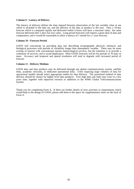#### **Column 9 - Latency of Delivery**

The latency of delivery defines the time elapsed between observation of the last variable value at sea which is included in the data set, and the delivery of the data or product to the user. Thus a 10-day forecast which is computed rapidly and delivered within 6 hours will have a maximal value; the same forecast delivered after 5 days has less value. Long period forecasts will require a great deal of data and computation, and it would be reasonable to allow a latency of 1 month for a 1 year forecast.

#### **Column 10 - Forecast Period**

GOOS will concentrate on providing data sets describing oceanographic physical, chemical, and biological processes with periods of variability longer than atmospheric weather. There may be some overlap of interest with conventional marine meteorological services, but the intention is to provide a continuity of services, and to avoid duplication. Most GOOS forecasts will be for periods of 10 days or more. Accuracy and temporal and spatial resolution will tend to degrade with increased period of forecast

#### **Column 11 - Delivery Medium**

GOOS data and data products may be delivered through any global communications system, satellite links, academic networks, or dedicated operational links. Users requiring large volumes of data for operational models should select appropriate media for data delivery. The prioritised method of data delivery should be chosen for higher level data products. Very high data rate links may exist in a few years time, together with improved versions or additions to the WMO Global Telecommunications System.

Thank you for completing Form A. If there are further details of your activities or requirements which would help in the design of GOOS, please add them in the space for supplementary notes on the back of Form A.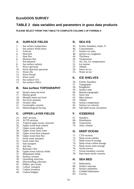# **EuroGOOS SURVEY**

# **TABLE 2 data variables and parameters in goos data products**

**PLEASE SELECT FROM THIS TABLE TO COMPLETE COLUMN 1 OF FORM(S) A**

# **A. SURFACE FIELDS**

- 1. Sea surface temperature<br>2. Sea surface Wind stress
- 2. Sea surface Wind stress<br>3. Velocity
- 3. Velocity<br>4 Direction
- 4. Direction<br>5. Heat flux
- 5. Heat flux
- 6. Moisture flux
- 7. Precipitation
- 8. Sea surface salinity
- 9. Wave spectrum
- 10. Wave direction spectrum<br>11. Waves Hs
- Waves Hs
- 12. Wave Period
- 13. Wave swell<br>14. Sea surface
- 14. Sea surface CO<sub>2</sub><br>15. Sea surface GHC
- Sea surface GHGs

### **B. Sea surface TOPOGRAPHY**

- 16. Hourly mean sea level<br>17. Marine geoid
- Marine geoid
- 18. Monthly mean sea level
- 19. Sea level anomaly
- 20. Oceanic tides<br>21. Geostrophic c
- Geostrophic currents
- 22. Meteorological forcing

# **C. UPPER LAYER FIELDS**

- 23. XBT sections
- 24. XCTD sections
- 25. Tropical upper ocean, structure
- 26. Upper ocean heat content
- 27. Upper ocean salinity
- 28. Upper ocean fresh water
- 29. Upper ocean heat transport
- 30. Upper ocean heat flux
- 31. Fresh water transport
- 32. Fresh water flux
- 33. Salt transport<br>34. Salt flux
- 34. Salt flux<br>35. Buovanc
- Buoyancy flux
- 36. Upper ocean velocity fields<br>37 Momentum fields
- 37. Momentum fields<br>38 Surface currents
- 38. Surface currents<br>39. Upwelling veloc
- Upwelling velocities
- 40. Downwelling velocities
- 41. Eddies, jets, fronts 42. Carbon transport
- 43. Carbon inventory
- 44. Carbon budgets

# **D. SEA ICE**

- 45. Extent, boundary, leads, %
- 46. Concentration<br>47. Surface ice sta
- 47. Surface ice state<br>48. Surface ice rough
- 48. Surface ice roughness<br>49. Thickness
- 49. Thickness<br>50. Temperatu
- **Temperature** 51. Air, sea, ice, temperatures
- 52. Ice motion
- 53. Albedo
- 54. Snow on ice
- 55. Water on ice

# **E. ICE SHELVES**

- 56. Extent, boundary<br>57. Topography
- 57. Topography<br>58. Roughness
- 58. Roughness<br>59. Surface stat
- 59. Surface state<br>60. Bottom topos
- Bottom topography
- 61. Snow line
- 62. Mass balance
- 63. Albedo
- 64. Surface temperature
- 65. Surface ice velocity
- 66. Sub-shelf ocean circulation

# **F. ICEBERGS**

- 67. Numbers
- 68. Distribution
- 69. Trajectories
- 70. Area, volume

## **G. DEEP OCEAN**

- 71. CTD sections
- 72. Deep ocean salinity
- 73. Deep ocean ht storage
- 74. Deep ocean carbon storage
- 75. Deep ocean water storage
- 
- 76. Ocean tracers<br>77. Ocean bounda Ocean boundary currents
- 78. Inter-basin straits currents

## **H. SEA BED**

- 79. Bathymetry
- 80. Surface outcrops<br>81. Surface sediments
- Surface sediments
- 82. Gridded bathymetry
- 83. Gravity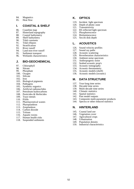- 84. Magnetics
- 85. Heat flow

#### **I. COASTAL & SHELF**

- 86. Coastline map
- 87. Hinterland topography
- 88. Coastal bathymetry
- 89. Shelf bathymetry
- 90. Tidal constants<br>91. Tidal ellipses
- 91. Tidal ellipses<br>92. Stratification
- 92. Stratification<br>93. River runoff
- 93. River runoff<br>94 Land non-riv
- 94. Land non-river runoff<br>95 Sediment transport
- 95. Sediment transport<br>96. Wetlands character
- Wetlands characteristics

#### **J. BIO-GEOCHEMICAL**

- 97. Chlorophyll<br>98. Nitrate
- 
- 98. Nitrate<br>99. Phosph Phosphate
- 100. Oxygen
- 101. Silicate
- 102. Iron
- 103. Biological pigments
- 104. Pathogens
- 105. Synthetic organics
- 106. Artificial radionuclides
- 107. Petroleum hydrocarbons
- 108. Pesticides & Herbicides
- 109. Trace metals
- 110. PAHs
- 111. Pharmaceutical wastes
- 112. Phytoplankton
- 113. Zooplankton
- 114. Carbon dioxide
- 115. Tritium
- 116. Aquatic toxins
- 117. Human health risks
- 118. Suspended sediments

# **K. OPTICS**

- 119. Incident light spectrum
- 120. Depth of photic zone
- 121. Transmissivity
- 122. RS reflected light spectrum
- 123. Phosphorescence
- 124. Bioluminescence
- 125. Secchi disk depth

#### **L. ACOUSTICS**

- 126. Sound velocity profiles
- 127. Sound ray paths
- 128. Acoustic scattering
- 129. Reverberation characteristics
- 130. Ambient noise spectrum
- 131. Anthropogenic noise
- 132. Seabed acoustic prop's
- 133. Acoustic tomography
- 134. Acoustic thermometry
- 135. Acoustic models (shelf)
- 136. Acoustic models (oceanic)

#### **M. DATA STRUCTURE**

- 137. Year-long time series
- 138. Decadal time series
- 139. Multi-decade time series
- 140. Climatic statistics
- 141. Spatial statistics
- 142. Past model outputs
- 143. Composite multi-parameter products
- 144. Spectra or other reduced statistics

#### **N. HINTERLAND**

- 145. Coastal land use
- 146. Vegetation cover<br>147. Agricultural crop.
- 147. Agricultural crops<br>148. Urbanisation
- Urbanisation
- 149. Population density
- 150. Industrial characteristics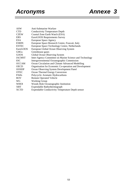# *Acronyms Annexe 3*

| <b>ASW</b>      | Anti-Submarine Warfare                                  |
|-----------------|---------------------------------------------------------|
| <b>CTD</b>      | <b>Conductivity Temperature Depth</b>                   |
| <b>CZEW</b>     | Coastal Zone Earth Watch (ESA)                          |
| <b>ERS</b>      | EuroGOOS Requirements Survey                            |
| <b>ESA</b>      | European Space Agency                                   |
| <b>ESRIN</b>    | European Space Research Centre, Frascati, Italy         |
| <b>ESTEC</b>    | European Space Technology Centre, Netherlands           |
| <b>EuroGOOS</b> | European Global Ocean Observing System                  |
| <b>GHGs</b>     | Greenhouse gases                                        |
| GOOS            | Global Ocean Observing System                           |
| <b>IACMST</b>   | Inter-Agency Committee on Marine Science and Technology |
| <b>IOC</b>      | Intergovernmental Oceanographic Commission              |
| <b>OCCAM</b>    | Ocean Circulation and Climate Advanced Modelling        |
| <b>OECD</b>     | Organisation for Economic Co-operation and Development  |
| <b>OOSDP</b>    | Ocean Observing System Development Panel                |
| <b>OTEC</b>     | Ocean Thermal Energy Conversion                         |
| <b>PAHs</b>     | Polycyclic Aromatic Hydrocarbons                        |
| <b>ROV</b>      | <b>Remote Operated Vehicle</b>                          |
| WG              | <b>Working Group</b>                                    |
| <b>WHOI</b>     | Woods Hole Oceanographic Institution                    |
| <b>XBT</b>      | Expendable Bathythermograph                             |
| <b>XCTD</b>     | <b>Expendable Conductivity Temperature Depth sensor</b> |
|                 |                                                         |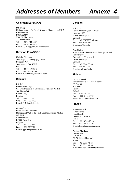#### **Chairman EuroGOOS**

Dik Tromp National Institute for Costal & Marine Management/RIKZ Kortenaerkade 1 PO Box 20907 2500 EX The Hague The Netherlands Tel: +31 70 311 44 23 Fax: +31 70 311 44 00 E-mail: D.Tromp@rikz.rws.minvenw.nl

#### **Director, EuroGOOS**

Nicholas Flemming Southampton Oceanography Centre European Way Southampton SO14 3ZH UK Tel: +44 1703 596242 Fax: +44 1703 596399 E-mail: N.Flemming@soc.soton.ac.uk

#### **Belgium**

Eric Delhez University of Liège Geohydrohynamics & Environment Research (GHER) Sart Tilman B5 B-4000 Liege Belgium Tel: +32 43 66 33 55 Fax: +32 43 66 23 55 E-mail: E.Delhez@ulg.ac.be

Georges Pichot Prime Minister's Services Management Unit of the North Sea Mathematical Models (MUMM) Gulledelle 100 B-1200 Bruxelles Belgium Tel: +32 2 7732111 Fax: +32 2 7706972 E-mail: g.pichot@mumm.ac.be

#### **Denmark**

Erik Buch Danish Meteorological Institute Lyngbyvej 100 2100 Copenhagen Ø Denmark Tel: +45 39157259 (direct) Fax: +45 39270684 E-mail: ebu@dmi.dk

Arne Nielsen Royal Danish Administration of Navigation and Hydrography Overgaden o. Vandet 62 B 1023 Copenhagen N Denmark Tel: +45 32 68 96 05 Fax: +45 31 57 43 41 E-mail: arn@fomfrv.dk

#### **Finland**

Hannu Grönvall Finnish Institute of Marine Research PO Box 33 FIN-00931 Helsinki Finland Tel: +358 9 613941 Fax: +358 9 613 94494 E-mail: hannu.gronvall@fimr.fi

#### **France**

François Gerard Météo France 1 quai Branly 75340 Paris Cedex 07 France Tel: +331 45 56 70 24 Fax: +331 45 56 70 05 E-mail: francois.gerard@meteo.fr

Philippe Marchand DITI-GO-SI IFREMER BP 70 - 29280 Plouzané France Tel: +02 98 22 41 26 Fax: +02 98 22 41 35 E-mail: Philippe.Marchand@ifremer.fr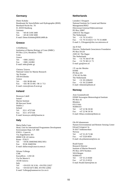#### **Germany**

Dieter Kohnke Bundesamt für Seeschiffahrt und Hydrographie (BSH) Bernhard-Nocht-Str. 78 D. 20359 Hamburg Germany Tel: +49 40 3190 3400 Fax: +49 40 3190 5000 E-mail: Dieter.Kohnke@BSH.d400.de

#### **Greece**

A Eleftheriou Institution of Marine Biology of Crete (IMBC) PO Box 2214, Heraklion 71003 Crete Greece Tel: +3081 242022 Fax: +3081 241882 E-mail: imbc@imbc.gr

Christos Tziavos National Centre for Marine Research Ag. Kosmas 166 04 Elliniko Greece Tel: +301 98 88 444 Fax: +301 98 33 095 / 98 11 713 E-mail: ctziav@erato.fl.ncmr.gr

#### **Ireland**

Bronwyn Cahill Ismaré Marine Institute 80 Harcourt Street Dublin 2 Ireland Tel: 353 1 4757100 Fax: 353 1 4757104 E-mail: bronwyn.cahill@marine.ie

#### **Italy**

Maria Dalla Costa Head, Unit for International Programmes Development Environment Dept. S.P. 069 ENEA - Casaccia Via Anguillarese 301 00060 S.M. di Galeria Rome - ITALY Tel: +39 06 30483946/3092/3951 Fax: 39 06 30483594 E-mail: dallacosta@casaccia.enea.it

Silvana Vallerga CNR Euroufficio - A RI GE Via De Marini 6 16146 Genova Italy Tel: +39 0335 30 3130, +39 0783 22027 Fax: +39 010 6475 800; 39 0783 22002 E-mail: Vallerga@nameserver.Ge.cnr.it

#### **Netherlands**

Leendert J Droppert National Institute for Coastal and Marine Management/RIKZ Directoraat-Generaal Rijkswaterstaat PO Box 20907 2500 EX The Hague The Netherlands Tel: +31 70 3114551 Fax: +31 70 3114321/+31 70 3114600 E-mail: L.J.Droppert@rikz.rws.minvenw.nl

Jan H Stel Director, Netherlands Geosciences Foundation PO Box 93120 2509 AC The Hague The Netherlands Tel:  $+31\,70\,344\,07\,80$ Fax: +31 70 383 21 73 E-mail: goa@nwo.nl

J P van der Meulen **KNMI** PO Box 201 3730 AE De Bilt The Netherlands Tel: +31 30 2206432 Fax: +31 30 2210849 E-mail: vdmeulen@knmi.nl

#### **Norway**

Arne Grammeltvedt DNMI Norwegian Meteorological Institute PO Box 43 Blindern 0313 Oslo NORWAY Tel: +47 22 96 30 00 Fax: +47 22 96 30 50 E-mail: lillian.svendsen@dnmi.no

Ola M Johannessen Nansen Environmental and Remote Sensing Center Edvard Griegsvei 3a N-5037 Solheimsviken Norway Tel: +47 55 29 72 88 Fax: +47 5520 0050 E-mail: ola.johannessen@nrsc.no

Roald Saetre Research Director Institute of Marine Research PO Box 1870 Nordnes 5024 Bergen NORWAY Tel: +47 55 23 8500 Fax: +47 55 23 8531 E-mail: Roald.Saetre@imr.no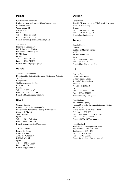#### **Poland**

Wlodzimierz Krzyminski Institute of Meteorology and Water Management Maritime Branch Waszyngtona 42 81-342 Gdynia POLAND Tel: +48 58 20 52 21 Fax: +48 58 20 71 01 E-mail: krzymins@stratus.imgw.gdynia.pl

Jan Piechura Institute of Oceanology Polish Academy of Sciences Powstanców Warszawy 55 81-712 Sopot Poland Tel: +48 58 517281 Fax: +48 58 512130 E-mail: piechura@iopan.gda.pl

#### **Russia**

Valery A. Martyschenko Department for Scientific Research, Marine and Antarctic Studies Roshydromet 12, Novovagankovsky Per. Moscow, 123242 Russia Tel:  $+ 70952524511$ Fax: + 7 095 255 20 90 E-mail: 5431.g23@g23.relcom.ru

#### **Spain**

Gregorio Parrilla Instituto Espanol de Oceanografia Ministerio de Agricultura, Pesca y Alimentacion Corazon de Maria 8 28002 Madrid Spain Tel: +34 91 347 3608 Fax: +34 91 413 5597 E-mail: gregorio.parrilla@md.ieo.es

A Ruiz de Elvira Puertos del Estado Clima Marítimo Avda. del Partenón 10 E-28042 Madrid Spain Tel: +341 524 5568 Fax: 341 524 5506 E-mail: ant@puertos.es

#### **Sweden**

Hans Dahlin Swedish Meteorological and Hydrological Institute S-601 76 Norrköping Sweden Tel: +46 11 495 83 05 Fax: +46 11 495 83 50 E-mail: hdahlin@smhi.se

#### **Turkey**

Ilkay Salihoglu Director Institute of Marine Sciences **METU** PK 28 Erdemli, Icel 33731 Turkey Tel: 90-324-521-2406 Fax: 90-324-521-2327 E-mail: ilkay@ims.metu.edu.tr

#### **UK**

Howard Cattle Ocean Applications Meteorological Office Room 245, London Road, Bracknell Berkshire RG12 2SZ UK Tel: +44 1344 856209 Fax: 01344 854499 E-mail: hcattle@meto.gov.uk

David Palmer Environment Agency National Centre for Instrumentation and Marine Surveillance Rivers House, Lower Bristol Road Bath, Avon BA2 9ES Tel: +44 1278 457333 Ext. 4237 Fax: +44 1225 469939 E-mail: 100750.1466@compuserve.com

John Shepherd Southampton Oceanography Centre Empress Dock, European Way Southampton SO14 3ZH Tel: +1703-595106 Fax: +1703-595107 E-mail: j.g.shepherd@soc.soton.ac.uk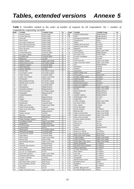# *Tables, extended versions Annexe 5*

|                                 |  |  |  |  |  | <b>Table 1.</b> Variables ranked in the order of number of requests by all respondents. No $=$ number of |  |  |
|---------------------------------|--|--|--|--|--|----------------------------------------------------------------------------------------------------------|--|--|
| respondents requesting variable |  |  |  |  |  |                                                                                                          |  |  |

|                | respondents requesting variable |                           |        |      |                             |                           |                |
|----------------|---------------------------------|---------------------------|--------|------|-----------------------------|---------------------------|----------------|
| Rank           | <b>Variable</b>                 | <b>Variable Group</b>     | No     | Rank | <b>Variable</b>             | <b>Variable Group</b>     | No             |
| $\mathbf{1}$   | <b>Current Velocity</b>         | Surface fields            | 94     | 69   | Artificial radionuclides    | Biogeochemical            | 16             |
| $\sqrt{2}$     | <b>Current Direction</b>        | Surface fields            | 93     | 70   | PAHs                        | Biogeochemical            | 16             |
| $\mathfrak{Z}$ | Waves Hs                        | Surface fields            | 85     | 71   | Pesticides & Herbicides     | Biogeochemical            | 16             |
| $\overline{4}$ | Wave Period                     | Surface fields            | 81     | 72   | Transmissivity              | Optics                    | 15             |
|                |                                 |                           |        | 73   | Albedo                      | Sea Ice                   | 15             |
| 5              | Sea surface temperature         | Surface fields            | 79     |      |                             |                           |                |
| 6              | Wave direction spectrum         | Surface fields            | 75     | 74   | Ambient noise spectrum      | Acoustics                 | 15             |
| 7              | Sea surface Wind stress         | Surface fields            | 71     | 75   | Seabed acoustic prop's      | Acoustics                 | 15             |
| $\,$ 8 $\,$    | Wave spectrum                   | Surface fields            | 68     | 76   | Magnetics                   | Sea Bed                   | 15             |
| 9              | Wave swell                      | Surface fields            | 67     | 77   | Salt transport              | <b>Upper Layer Fields</b> | 15             |
|                | Coastal bathymetry              |                           | 60     | 78   | Carbon dioxide              | Biogeochemical            | 15             |
| 10             |                                 | Coastal & Shelf           |        |      |                             |                           |                |
| 11             | Sea surface salinity            | Surface fields            | 60     | 79   | Sea surface CO <sub>2</sub> | Surface fields            | 15             |
| 12             | Coastline map                   | Coastal & Shelf           | 58     | 80   | Acoustic tomography         | Acoustics                 | 14             |
| 13             | Bathymetry                      | Sea Bed                   | 56     | 81   | Gravity                     | Sea Bed                   | 14             |
| 14             | Surface currents                | <b>Upper Layer Fields</b> | 55     | 82   | Fresh water flux            | <b>Upper Layer Fields</b> | 14             |
| 15             | Hourly mean sea level           | Sea Surface topogr.       | 48     | 83   | Upper ocean heat content    | <b>Upper Layer Fields</b> | 14             |
|                |                                 |                           |        | 84   |                             | Biogeochemical            | 14             |
| 16             | Sediment transport              | Coastal & Shelf           | 44     |      | Iron                        |                           |                |
| 17             | Shelf bathymetry                | Coastal & Shelf           | 41     | 85   | Distribution                | Icebergs                  | 13             |
| 18             | Surface sediments               | Sea Bed                   | 39     | 86   | Numbers                     | Icebergs                  | 13             |
| 19             | Oceanic tides                   | Sea Surface topogr.       | 38     | 87   | Trajectories                | Icebergs                  | 13             |
| 20             | Geostrophic currents            | Sea Surface topogr.       | 35     | 88   | Depth of photic zone        | Optics                    | 13             |
|                |                                 |                           |        | 89   | Ocean tracers               | Deep Ocean                | 13             |
| 21             | Tidal constants                 | Coastal & Shelf           | 35     |      |                             |                           |                |
| 22             | Upper ocean salinity            | <b>Upper Layer Fields</b> | 35     | 90   | Acoustic models (shelf)     | Acoustics                 | 13             |
| 23             | Precipitation                   | Surface fields            | 35     | 91   | Sound ray paths             | Acoustics                 | 13             |
| 24             | Meteorological forcing          | Sea Surface topogr.       | 34     | 92   | Surface ice state           | Sea Ice                   | 13             |
| 25             | Monthly mean sea level          | Sea Surface topogr.       | 34     | 93   | Reverberation charact.      | Acoustics                 | 12             |
|                |                                 |                           | 34     | 94   | Surface ice roughness       | Sea Ice                   | 12             |
| 26             | River runoff                    | Coastal & Shelf           |        |      |                             |                           |                |
| 27             | Phytoplankton                   | Biogeochemical            | 34     | 95   | Momentum fields             | <b>Upper Layer Fields</b> | 12             |
| 28             | Suspended sediments             | Biogeochemical            | 34     | 96   | Salt flux                   | <b>Upper Layer Fields</b> | 12             |
| 29             | Sea level anomaly               | Sea Surface topogr.       | 33     | 97   | Human health risks          | Biogeochemical            | 12             |
| 30             | Chlorophyll                     | Biogeochemical            | 33     | 98   | Pathogens                   | Biogeochemical            | 12             |
| 31             |                                 | Sea Bed                   | 32     | 99   | Synthetic organics          | Biogeochemical            | 12             |
|                | Gridded bathymetry              |                           |        |      |                             |                           |                |
| 32             | Nitrate                         | Biogeochemical            | 31     | 100  | Anthropogenic noise         | Acoustics                 | 11             |
| 33             | Oxygen                          | Biogeochemical            | 31     | 101  | Temperature                 | Sea Ice                   | 11             |
| 34             | CTD sections                    | Deep Ocean                | 30     | 102  | Carbon transport            | <b>Upper Layer Fields</b> | 11             |
| 35             | Stratification                  | Coastal & Shelf           | 30     | 103  | Sea surface GHGs            | Surface fields            | 11             |
| 36             | Eddies, jets, fronts            | <b>Upper Layer Fields</b> | 30     | 104  | Area, volume                | Icebergs                  | 10             |
|                |                                 |                           |        | 105  | Secchi disk depth           | Optics                    | 10             |
| 37             | Sound velocity profiles         | Acoustics                 | 29     |      |                             |                           |                |
| 38             | Upper ocean veloc.fields        | <b>Upper Layer Fields</b> | 29     | 106  | Extent, boundary            | Ice Shelves               | 10             |
| 39             | Phosphate                       | Biogeochemical            | 29     | 107  | Buoyancy flux               | <b>Upper Layer Fields</b> | 10             |
| 40             | Surface outcrops                | Sea Bed                   | 26     | 108  | Upper ocean heat flux       | <b>Upper Layer Fields</b> | 10             |
| 41             | Heat flux                       | Surface fields            | 26     | 109  | Upper ocean heat transport  | <b>Upper Layer Fields</b> | 10             |
| 42             | Deep ocean salinity             |                           | 25     | 110  | Deep ocean ht storage       | Deep Ocean                | 9              |
|                |                                 | Deep Ocean                |        |      |                             |                           | 9              |
| 43             | Extent, boundary, leads,%       | Sea Ice                   | 25     | 111  | Acoustic models (oceanic)   | Acoustics                 |                |
| 44             | Upwelling velocities            | <b>Upper Layer Fields</b> | 25     | 112  | Snow on ice                 | Sea Ice                   | 9              |
| 45             | Zooplankton                     | Biogeochemical            | 24     | 113  | Water on ice                | Sea Ice                   | 9              |
| 46             | <b>XCTD</b> sections            | <b>Upper Layer Fields</b> | 23     | 114  | Heat flow                   | Sea Bed                   | 9              |
| 47             | Concentration                   | Sea Ice                   | 22     | 115  | Tritium                     | Biogeochemical            | 9              |
|                |                                 |                           | 22     | 116  | Bioluminescence             | Optics                    | 8              |
| 48             | Marine geoid                    | Sea Surface topogr.       |        |      |                             |                           |                |
| 49             | Hinterland topography           | Coastal & Shelf           | $22\,$ | 117  | Surface ice velocity        | Ice Shelves               | 8              |
| 50             | Land non-river runoff           | Coastal & Shelf           | 22     | 118  | Deep ocean carbon stor.     | Deep Ocean                | 8              |
| 51             | Tidal ellipses                  | Coastal & Shelf           | 22     | 119  | Deep ocean water storage    | Deep Ocean                | 8              |
| 52             | XBT sections                    | <b>Upper Laver Fields</b> | 22     | 120  | Carbon budgets              | <b>Upper Layer Fields</b> | 8              |
|                | Moisture flux                   |                           |        | 121  | Carbon inventory            | <b>Upper Layer Fields</b> | 8              |
| 53             |                                 | Surface fields            | 22     |      |                             |                           |                |
| 54             | Downwelling velocities          | <b>Upper Layer Fields</b> | 21     | 122  | Tropic.upper ocean, struct. | <b>Upper Laver Fields</b> | 8              |
| 55             | Silicate                        | Biogeochemical            | 21     | 123  | Bottom topography           | Ice Shelves               | $\tau$         |
| 56             | Wetlands characteristics        | Coastal & Shelf           | 20     | 124  | Sub-shelf ocean circulation | Ice Shelves               | $\tau$         |
| 57             | Trace metals                    | Biogeochemical            | 20     | 125  | Surface temperature         | Ice Shelves               | 7              |
|                |                                 | Biogeochemical            | 19     | 126  | Acoustic thermometry        | Acoustics                 | $\tau$         |
| 58             | <b>Biological pigments</b>      |                           |        |      |                             |                           |                |
| 59             | Air, sea, ice, temperatures     | Sea Ice                   | 18     | 127  | Mass balance                | Ice Shelves               | 6              |
| 60             | Fresh water transport           | <b>Upper Layer Fields</b> | 18     | 128  | Snow line                   | Ice Shelves               | 6              |
| 61             | Petroleum hydrocarbons          | Biogeochemical            | 18     | 129  | Surface state               | Ice Shelves               | 6              |
| 62             | Acoustic scattering             | <b>Acoustics</b>          | 17     | 130  | Topography                  | Ice Shelves               | 6              |
|                |                                 | Biogeochemical            | 17     | 131  | Pharmaceutical wastes       | Biogeochemical            | 6              |
| 63             | Aquatic toxins                  |                           |        |      |                             |                           |                |
| 64             | Inter-basin straits currents    | Deep Ocean                | 16     | 132  | Phosphorescence             | Optics                    | 5              |
| 65             | Ocean boundary currents         | Deep Ocean                | 16     | 133  | Roughness                   | Ice Shelves               | 5              |
| 66             | Ice motion                      | Sea Ice                   | 16     | 134  | Albedo                      | Ice Shelves               | 5              |
| 67             | Thickness                       | Sea Ice                   | 16     | 135  | Incident light spectrum     | Optics                    | $\overline{4}$ |
| 68             | Upper ocean fresh water         | <b>Upper Layer Fields</b> | 16     | 136  | RS reflected light spectrum | Optics                    | 4              |
|                |                                 |                           |        |      |                             |                           |                |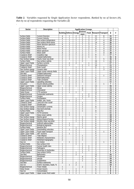**Table 2**. *Variables requested by Single Application Sector respondents. Ranked by no of Sectors (#), then by no of respondents requesting the Variable (*Σ*)*

.

| Sector                                       | <b>Description</b>                                | <b>Application Groups</b>        |                                |                     |                |                |                     |                         |                         |                                                    |
|----------------------------------------------|---------------------------------------------------|----------------------------------|--------------------------------|---------------------|----------------|----------------|---------------------|-------------------------|-------------------------|----------------------------------------------------|
|                                              |                                                   |                                  |                                |                     | <b>Environ</b> |                |                     |                         |                         |                                                    |
|                                              |                                                   |                                  | <b>Building Defence Energy</b> |                     | ment           |                |                     | Food Research Transport | Σ                       | #                                                  |
| Surface fields                               | <b>Current Direction</b>                          | $\overline{4}$                   |                                | 2                   | 2              | 3              | 15                  | 8                       | 35                      | 7                                                  |
| Surface fields                               | <b>Current Velocity</b>                           | $\overline{4}$                   |                                | 2                   | 2              | $\overline{3}$ | 15                  | 7                       | $\overline{34}$         | 7                                                  |
| Surface fields                               | Sea surface temperature                           | 1                                |                                | 1                   | $\overline{2}$ | 3              | 17                  | $\overline{4}$          | 29                      | 7                                                  |
| Surface fields                               | Sea surface Wind stress                           | $\overline{2}$                   |                                | 1                   | 2              | $\overline{2}$ | 14                  | $\overline{4}$          | 26                      | 7                                                  |
| Surface fields                               | Wave direction spectrum                           | $\overline{4}$                   | $\overline{2}$                 | $\overline{c}$      | 1              | 3              | 9                   | 4                       | $\overline{25}$         | 7                                                  |
| Surface fields                               | <b>Waves Hs</b>                                   | $\overline{4}$                   |                                | 2                   | 1              | 3              | $\overline{9}$      | 3                       | 23                      | 7                                                  |
| Surface fields                               | <b>Wave Period</b>                                | $\overline{4}$                   | 1                              | $\overline{c}$      | 1              | $\overline{2}$ | 8<br>9              | $\overline{4}$          | $\overline{22}$         | 7                                                  |
| Surface fields<br>Surface fields             | Wave spectrum<br>Wave swell                       | 3<br>$\overline{4}$              | 2<br>1                         | 1<br>$\overline{2}$ | 1<br>1         | 1<br>1         | 7                   | 4<br>$\overline{4}$     | 21<br>$\overline{20}$   | 7<br>7                                             |
| Coastal & Shelf                              | Coastline map                                     | $\overline{2}$                   | $\overline{2}$                 | 1                   | $\overline{2}$ | 1              | 8                   | 1                       | 17                      | 7                                                  |
| Coastal & Shelf                              | Coastal bathymetry                                | $\overline{2}$                   | 1                              | 1                   | $\overline{2}$ | 1              | 9                   |                         | 16                      | 6                                                  |
| Sea Surface topogr.                          | Hourly mean sea level                             | $\overline{2}$                   |                                |                     | $\overline{c}$ |                | 5                   | 5                       | $\overline{16}$         | 6                                                  |
| Surface fields                               | Sea surface salinity                              | 1                                |                                | 1                   | $\overline{2}$ |                | 16                  | 1                       | $\overline{21}$         | 5                                                  |
| <b>Upper Layer Fields</b>                    | Surface currents                                  | 1                                | $\overline{2}$                 | $\overline{c}$      |                | 1              | 11                  |                         | $\overline{17}$         | $\overline{\mathbf{5}}$                            |
| Biogeochemical                               | Phytoplankton                                     |                                  |                                |                     | 2              |                | 10                  |                         | 15                      | $\overline{\mathbf{5}}$                            |
| Coastal & Shelf                              | River runoff                                      | $\overline{2}$                   |                                | 1                   |                |                | 8                   |                         | 13                      | $\overline{\mathbf{5}}$                            |
| Sea Surface topogr.                          | Oceanic tides                                     | 1                                |                                |                     | 1              |                | 7                   | 3                       | $\overline{13}$         | 5                                                  |
| <b>Upper Layer Fields</b>                    | Upper ocean velocity fields                       | $\overline{c}$                   |                                | 2                   |                |                | 7                   |                         | 13                      | 5                                                  |
| Sea Bed                                      | Gridded bathymetry                                | $\overline{2}$                   |                                | 1                   | 1              |                | $\overline{7}$      |                         | $\overline{12}$         | 5                                                  |
| Coastal & Shelf                              | Sediment transport                                | $\overline{2}$                   |                                | 1                   | $\overline{2}$ |                | 5                   |                         | 11                      | $\overline{\mathbf{5}}$                            |
| Coastal & Shelf                              | Shelf bathymetry<br><b>Tidal constants</b>        | $\overline{2}$<br>$\overline{2}$ | 1                              | 1<br>1              | 1<br>1         |                | 6                   |                         | 11<br>11                | 5<br>5                                             |
| Coastal & Shelf<br><b>Upper Layer Fields</b> | <b>Upwelling velocities</b>                       | 1                                |                                | $\overline{2}$      |                |                | 6<br>6              |                         | 11                      | 5                                                  |
| <b>Acoustics</b>                             | Sound velocity profiles                           | 1                                | $\overline{c}$                 | 1                   |                |                | $\overline{2}$      | 1                       | 7                       | 5                                                  |
| <b>Upper Layer Fields</b>                    | Upper ocean salinity                              |                                  | $\overline{c}$                 | 1                   |                |                | $\overline{12}$     |                         | $\overline{16}$         | $\overline{\mathbf{4}}$                            |
| Biogeochemical                               | Nitrate                                           | 1                                |                                |                     | 4              |                | 9                   |                         | $\overline{15}$         | $\overline{\mathbf{4}}$                            |
| Biogeochemical                               | Chlorophyll                                       | 1                                |                                |                     | 3              |                | 9                   |                         | 14                      | 4                                                  |
| Deep Ocean                                   | <b>CTD</b> sections                               |                                  |                                |                     |                |                | 11                  |                         | 14                      | $\overline{\mathbf{4}}$                            |
| Biogeochemical                               | Suspended sediments                               |                                  |                                |                     |                | $\overline{c}$ | 9                   |                         | 13                      | 4                                                  |
| Biogeochemical                               | Oxygen                                            | 1                                |                                |                     | 3              | $\overline{c}$ | 6                   |                         | 12                      | 4                                                  |
| Surface fields                               | Precipitation                                     | 1                                |                                | 1                   | $\mathbf{1}$   |                | $\mathbf Q$         |                         | $\overline{12}$         | 4                                                  |
| <b>Upper Layer Fields</b>                    | Eddies, jets, fronts                              | 1                                |                                | $\overline{2}$      |                |                | 8                   |                         | 12                      | 4                                                  |
| Coastal & Shelf                              | Land non-river runoff                             | $\overline{2}$                   |                                | 1                   | 1              |                | $\overline{7}$      |                         | 11                      | 4                                                  |
| Coastal & Shelf                              | Stratification                                    | $\overline{2}$                   |                                | 1                   |                |                | 7                   |                         | 11                      | 4                                                  |
| Sea Surface topogr.                          | Geostrophic currents                              | $\mathbf{1}$                     |                                |                     |                |                | 8                   |                         | 11                      | 4                                                  |
| Sea Surface topogr.<br>Surface fields        | Sea level anomaly<br>Heat flux                    | $\overline{2}$<br>1              |                                |                     |                |                | 7<br>8              |                         | 11<br>$\overline{11}$   | 4<br>$\overline{\mathbf{4}}$                       |
| <b>Upper Layer Fields</b>                    | <b>XCTD</b> sections                              | $\overline{c}$                   |                                |                     |                |                | 7                   |                         | 11                      | $\overline{\mathbf{4}}$                            |
| Deep Ocean                                   | Deep ocean salinity                               | 1                                |                                | 1                   |                |                | 7                   |                         | 10                      | $\overline{\mathbf{4}}$                            |
| Sea Surface topogr.                          | Marine geoid                                      | $\overline{c}$                   |                                |                     |                |                | 6                   |                         | 10                      | 4                                                  |
| Sea Surface topogr.                          | Meteorological forcing                            | 1                                |                                |                     | $\overline{2}$ |                | 6                   |                         | 10                      | 4                                                  |
| Sea Surface topogr.                          | Monthly mean sea level                            | $\overline{c}$                   |                                |                     | 1              |                | 6                   |                         | 10                      | 4                                                  |
| Biogeochemical                               | Artificial radionuclides                          | 1                                |                                |                     |                |                | 6                   |                         | 9                       | 4                                                  |
| Biogeochemical                               | <b>Biological pigments</b>                        | 1                                | 1                              |                     | 1              |                | 6                   |                         | $\overline{9}$          | 4                                                  |
| Surface fields                               | Moisture flux                                     |                                  |                                |                     |                |                | 6                   |                         | $\overline{9}$          | 4                                                  |
| <b>Upper Layer Fields</b>                    | Downwelling velocities                            | 1                                |                                | 2                   |                |                | 5                   |                         | 9                       | 4                                                  |
| <b>Upper Layer Fields</b>                    | Fresh water transport                             | 1                                |                                | 1                   |                |                | 6                   |                         | $\boldsymbol{9}$        | 4                                                  |
| <b>Upper Layer Fields</b>                    | <b>XBT</b> sections                               | 1                                | 1                              | 1                   |                |                | 6<br>$\overline{4}$ |                         | $\overline{9}$<br>8     | 4<br>4                                             |
| Coastal & Shelf<br>Coastal & Shelf           | <b>Tidal ellipses</b><br>Wetlands characteristics | $\overline{2}$<br>$\overline{c}$ |                                |                     | 1              |                | $\overline{4}$      |                         | 8                       | $\overline{\mathbf{4}}$                            |
| Coastal & Shelf                              | Hinterland topography                             | $\overline{2}$                   |                                | 1                   | 1              |                | 3                   |                         | 7                       | 4                                                  |
| Sea Ice                                      | Ice motion                                        |                                  |                                |                     |                |                | $\overline{4}$      |                         | 7                       | 4                                                  |
| Surface fields                               | Sea surface CO <sub>2</sub>                       |                                  |                                |                     |                |                | $\overline{4}$      |                         | 7                       | 4                                                  |
| Biogeochemical                               | Human health risks                                |                                  |                                |                     |                |                | 3                   |                         | 6                       | 4                                                  |
| Biogeochemical                               | Pathogens                                         | 1                                |                                |                     | $\overline{c}$ |                | $\overline{2}$      |                         | 6                       | 4                                                  |
| Biogeochemical                               | Pesticides & Herbicides                           | 1                                |                                |                     | 1              |                | $\overline{3}$      |                         | 6                       | 4                                                  |
| Surface fields                               | Sea surface GHGs                                  | 1                                |                                | 1                   | $\mathbf{1}$   |                | $\overline{2}$      |                         | 5                       | 4                                                  |
| Sea Bed                                      | Bathymetry                                        | $\overline{2}$                   |                                | 2                   |                |                | 12                  |                         | 16                      | 3                                                  |
| Biogeochemical                               | Phosphate                                         | 1                                |                                |                     | 4              |                | 8                   |                         | 13                      | $\overline{\mathbf{3}}$                            |
| Biogeochemical                               | Silicate                                          | 1                                |                                |                     | 3              |                | 6                   |                         | 10                      | 3                                                  |
| Biogeochemical                               | Zooplankton                                       | 1                                |                                |                     | 1              |                | 8                   |                         | 10                      | $\overline{\mathbf{3}}$                            |
| Sea Bed                                      | Surface sediments                                 | $\overline{2}$                   |                                | 2                   |                |                | 6                   |                         | $\overline{10}$<br>10   | $\overline{\mathbf{3}}$<br>$\overline{\mathbf{3}}$ |
| Sea Ice<br>Biogeochemical                    | Extent, boundary, leads, %<br>Trace metals        | 1                                |                                | 2                   | $\overline{c}$ |                | 7<br>5              |                         | $\overline{\mathbf{8}}$ | $\overline{\mathbf{3}}$                            |
| Deep Ocean                                   | Ocean tracers                                     | 1                                |                                | 1                   |                |                | 6                   |                         | $\overline{\mathbf{8}}$ | $\overline{\mathbf{3}}$                            |
| Sea Ice                                      | Concentration                                     |                                  |                                | $\overline{c}$      |                |                | 5                   |                         | 8                       | $\overline{\mathbf{3}}$                            |
| <b>Upper Layer Fields</b>                    | Upper ocean fresh water                           |                                  |                                |                     |                |                | 6                   |                         | 8                       | $\overline{\mathbf{3}}$                            |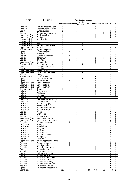| <b>Sector</b>                                          | <b>Description</b>                             | <b>Application Groups</b> |                                |                |                        |                 |                                  |                         |                              |                                  |
|--------------------------------------------------------|------------------------------------------------|---------------------------|--------------------------------|----------------|------------------------|-----------------|----------------------------------|-------------------------|------------------------------|----------------------------------|
|                                                        |                                                |                           | <b>Building Defence Energy</b> |                | <b>Environ</b><br>ment |                 |                                  | Food Research Transport | Σ                            | #                                |
| Deep Ocean                                             | Inter-basin straits currents                   | 1                         |                                |                |                        |                 | 5                                |                         | 7                            | 3                                |
| Deep Ocean                                             | Ocean boundary currents                        | 1                         |                                |                |                        |                 | 5                                |                         | 7                            | $\overline{\mathbf{3}}$          |
| Sea Bed                                                | Surface outcrops                               | $\overline{2}$            |                                |                |                        |                 | $\overline{4}$                   |                         | 7                            | 3                                |
| Sea Ice                                                | Air, sea, ice, temperatures                    |                           |                                |                |                        |                 | 4                                | $\overline{c}$          | 7                            | $\overline{\mathbf{3}}$          |
| <b>Upper Layer Fields</b><br><b>Upper Layer Fields</b> | Fresh water flux<br>Salt transport             | 1<br>1                    |                                |                |                        |                 | 5<br>5                           |                         | 7<br>7                       | 3<br>3                           |
| Biogeochemical                                         | Aquatic toxins                                 | 1                         |                                |                |                        | $\overline{c}$  | 3                                |                         | 6                            | $\overline{\mathbf{3}}$          |
| Biogeochemical                                         | Iron                                           |                           |                                |                | 3                      |                 | $\overline{2}$                   |                         | 6                            | 3                                |
| Biogeochemical                                         | PAHs                                           |                           |                                |                | $\overline{c}$         |                 | 3                                |                         | 6                            | 3                                |
| Biogeochemical                                         | Petroleum hydrocarbons                         | 1                         |                                |                | $\overline{2}$         |                 | 3                                |                         | 6                            | $\overline{\mathbf{3}}$          |
| <b>Upper Layer Fields</b>                              | Salt flux                                      | 1                         |                                |                |                        |                 | $\overline{4}$                   |                         | 6                            | $\overline{\mathbf{3}}$          |
| Biogeochemical                                         | Synthetic organics                             | 1                         |                                |                | 1                      |                 | 3                                |                         | 5                            | 3                                |
| Optics                                                 | Bioluminescence                                |                           |                                |                |                        |                 | 3                                |                         | 5                            | $\overline{\mathbf{3}}$          |
| Sea Bed                                                | Magnetics                                      |                           |                                |                |                        |                 | 3                                |                         | 5                            | 3                                |
| Sea Ice                                                | Surface ice roughness                          |                           |                                |                |                        |                 | 3                                |                         | 5                            | 3                                |
| Sea Ice                                                | Temperature                                    |                           |                                |                |                        |                 | 3                                |                         | 5                            | $\overline{\mathbf{3}}$          |
| Sea Ice                                                | <b>Thickness</b>                               |                           |                                |                |                        |                 | 3                                |                         | 5                            | $\overline{\mathbf{3}}$          |
| <b>Upper Layer Fields</b>                              | <b>Buoyancy flux</b>                           | 1                         |                                | 1              |                        |                 | 3                                |                         | 5                            | $\overline{\mathbf{3}}$          |
| Biogeochemical                                         | Pharmaceutical wastes                          | 1                         |                                |                |                        |                 | $\overline{2}$                   |                         | 4                            | 3                                |
| Deep Ocean                                             | Deep ocean ht storage                          | 1                         |                                |                |                        |                 | $\overline{2}$                   |                         | 4                            | $\overline{\mathbf{3}}$          |
| Sea Bed                                                | <b>Heat flow</b>                               | 1<br>1                    |                                |                |                        |                 | $\overline{c}$                   |                         | 4<br>4                       | 3<br>$\overline{\mathbf{3}}$     |
| <b>Upper Layer Fields</b><br><b>Upper Layer Fields</b> | Momentum fields<br>Upper ocean heat content    |                           |                                |                | 1                      |                 | $\overline{2}$<br>$\overline{2}$ |                         | 4                            | $\overline{\mathbf{3}}$          |
| Sea Bed                                                | Gravity                                        | 1                         |                                | 1              |                        |                 | 1                                |                         | 3                            | $\overline{\mathbf{3}}$          |
| Biogeochemical                                         | Carbon dioxide                                 | 1                         |                                |                |                        |                 | 6                                |                         | 7                            | $\overline{2}$                   |
| Optics                                                 | Depth of photic zone                           |                           |                                |                |                        |                 | 6                                |                         | 7                            | $\overline{2}$                   |
| Optics                                                 | Transmissivity                                 |                           |                                |                |                        |                 | 5                                |                         | 6                            | $\boldsymbol{2}$                 |
| <b>Upper Layer Fields</b>                              | Carbon transport                               |                           |                                |                |                        |                 | 5                                |                         | 6                            | 2                                |
| <b>Upper Layer Fields</b>                              | Carbon budgets                                 |                           |                                |                |                        |                 | 5                                |                         | 6                            | $\overline{2}$                   |
| <b>Upper Layer Fields</b>                              | Carbon inventory                               |                           |                                | $\mathbf{1}$   |                        |                 | 5                                |                         | 6                            | $\overline{2}$                   |
| Biogeochemical                                         | Tritium                                        |                           |                                |                |                        |                 | 4                                |                         | 5                            | $\overline{2}$                   |
| Icebergs                                               | Area, volume                                   |                           |                                | 2              |                        |                 | 3                                |                         | 5                            | $\overline{2}$                   |
| Icebergs                                               | Distribution                                   |                           |                                | $\overline{2}$ |                        |                 | 3                                |                         | 5                            | $\overline{2}$                   |
| Icebergs                                               | <b>Numbers</b>                                 |                           |                                | 2              |                        |                 | 3                                |                         | 5                            | $\boldsymbol{2}$                 |
| Icebergs                                               | Trajectories                                   |                           |                                | $\overline{c}$ |                        |                 | 3                                |                         | 5                            | $\overline{2}$                   |
| Deep Ocean                                             | Deep ocean carbon storage                      |                           |                                | 1              |                        |                 | 3                                |                         | 4                            | $\overline{2}$                   |
| Deep Ocean                                             | Deep ocean water storage                       |                           |                                | 1              |                        |                 | 3                                |                         | 4                            | $\overline{2}$<br>$\overline{2}$ |
| <b>Ice Shelves</b><br><b>Ice Shelves</b>               | Bottom topography<br>Extent, boundary          |                           |                                |                |                        |                 | 3<br>$\overline{3}$              |                         | 4<br>4                       | $\overline{2}$                   |
| Ice Shelves                                            | Sub-shelf ocean circulation                    |                           |                                |                |                        |                 | 3                                |                         | 4                            | $\boldsymbol{2}$                 |
| <b>Ice Shelves</b>                                     | Surface ice velocity                           |                           |                                |                |                        |                 | 3                                |                         | 4                            | $\overline{2}$                   |
| Sea Ice                                                | Albedo                                         |                           |                                |                |                        |                 | 3                                |                         | 4                            | $\overline{2}$                   |
| Sea Ice                                                | Snow on ice                                    |                           |                                |                |                        |                 | 3                                |                         | 4                            | $\mathbf 2$                      |
| Sea Ice                                                | Surface ice state                              |                           |                                |                |                        |                 | 3                                |                         | 4                            | $\overline{2}$                   |
| <b>Upper Layer Fields</b>                              | Upper ocean heat flux                          |                           |                                |                |                        |                 | 3                                |                         | 4                            | $\mathbf{2}$                     |
| <b>Upper Layer Fields</b>                              | Upper ocean heat transport                     |                           |                                | 1              |                        |                 | 3                                |                         | 4                            | 2                                |
| <b>Acoustics</b>                                       | Acoustic tomography                            |                           |                                |                |                        |                 | $\overline{2}$                   |                         | $\overline{\mathbf{3}}$      | $\mathbf{2}$                     |
| <b>Ice Shelves</b>                                     | Albedo                                         |                           |                                |                |                        |                 | $\overline{2}$                   |                         | $\overline{\mathbf{3}}$      | $\mathbf{2}$                     |
| Ice Shelves                                            | Mass balance                                   |                           |                                | 1              |                        |                 | 2                                |                         | 3                            | 2                                |
| Ice Shelves                                            | Roughness                                      |                           |                                |                |                        |                 | $\overline{2}$                   |                         | $\overline{\mathbf{3}}$      | $\overline{2}$                   |
| <b>Ice Shelves</b>                                     | Snow line<br>Surface state                     |                           |                                |                |                        |                 | $\overline{2}$                   |                         | 3<br>$\overline{\mathbf{3}}$ | $\overline{2}$                   |
| Ice Shelves<br>Ice Shelves                             | Surface temperature                            |                           |                                |                |                        |                 | $\overline{c}$<br>$\overline{c}$ |                         | $\overline{\mathbf{3}}$      | 2<br>$\overline{2}$              |
| <b>Ice Shelves</b>                                     | Topography                                     |                           |                                |                |                        |                 | $\overline{c}$                   |                         | 3                            | $\mathbf{2}$                     |
| Sea Ice                                                | Water on ice                                   |                           |                                | 1              |                        |                 | $\overline{c}$                   |                         | 3                            | $\overline{2}$                   |
| <b>Upper Layer Fields</b>                              | Tropical upper ocean, struct                   |                           |                                |                |                        |                 | $\overline{c}$                   |                         | $\overline{\mathbf{3}}$      | $\boldsymbol{2}$                 |
| Acoustics                                              | Acoustic scattering                            |                           |                                |                |                        |                 |                                  |                         | $\overline{2}$               | $\mathbf{2}$                     |
| Acoustics                                              | Sound ray paths                                |                           |                                |                |                        |                 |                                  |                         | 2                            | 2                                |
| <b>Acoustics</b>                                       | Seabed acoustic prop's                         |                           |                                |                |                        |                 | 3                                |                         | $\overline{\mathbf{3}}$      | 1                                |
| Optics                                                 | Secchi disk depth                              |                           |                                |                |                        |                 | 3                                |                         | $\overline{\mathbf{3}}$      | 1                                |
| <b>Acoustics</b>                                       | Anthropogenic noise                            |                           |                                |                |                        |                 | $\overline{c}$                   |                         | 2                            | 1                                |
| <b>Optics</b>                                          | Incident light spectrum                        |                           |                                |                |                        |                 | $\overline{2}$                   |                         | 2                            | 1                                |
| Optics                                                 | Phosphorescence                                |                           |                                |                |                        |                 | $\overline{2}$                   |                         | $\overline{2}$               | 1                                |
| Acoustics                                              | Acoustic models (oceanic)                      |                           |                                |                |                        |                 | 1                                |                         | 1                            | 1                                |
| Acoustics                                              | Acoustic models (shelf)                        |                           |                                |                |                        |                 |                                  |                         | 1<br>1                       | 1<br>1                           |
| Acoustics<br><b>Acoustics</b>                          | Acoustic thermometry<br>Ambient noise spectrum |                           |                                |                |                        |                 |                                  |                         | 1                            | 1                                |
| Acoustics                                              | Reverberation charact.                         |                           |                                |                |                        |                 |                                  |                         | 1                            | 1                                |
| Optics                                                 | RS reflected light spectrum                    |                           |                                |                |                        |                 |                                  |                         | 1                            | 1                                |
| <b>Grand Total</b>                                     |                                                | 126                       | 48                             | 126            | 88                     | $\overline{34}$ | 748                              | 63                      | 1233                         | 7                                |